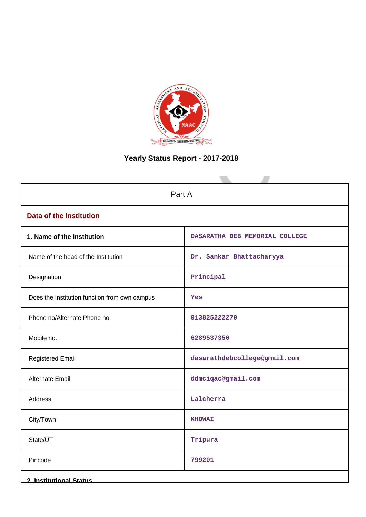

# **Yearly Status Report - 2017-2018**

| Part A                                        |                                |  |  |  |
|-----------------------------------------------|--------------------------------|--|--|--|
| <b>Data of the Institution</b>                |                                |  |  |  |
| 1. Name of the Institution                    | DASARATHA DEB MEMORIAL COLLEGE |  |  |  |
| Name of the head of the Institution           | Dr. Sankar Bhattacharyya       |  |  |  |
| Designation                                   | Principal                      |  |  |  |
| Does the Institution function from own campus | Yes                            |  |  |  |
| Phone no/Alternate Phone no.                  | 913825222270                   |  |  |  |
| Mobile no.                                    | 6289537350                     |  |  |  |
| <b>Registered Email</b>                       | dasarathdebcollege@gmail.com   |  |  |  |
| Alternate Email                               | ddmciqac@gmail.com             |  |  |  |
| <b>Address</b>                                | Lalcherra                      |  |  |  |
| City/Town                                     | <b>KHOWAI</b>                  |  |  |  |
| State/UT                                      | Tripura                        |  |  |  |
| Pincode                                       | 799201                         |  |  |  |
| <b>2. Institutional Status</b>                |                                |  |  |  |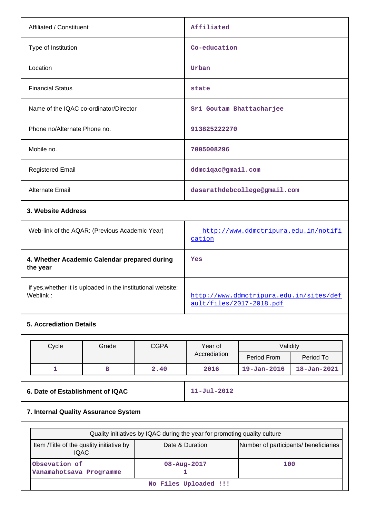| Affiliated / Constituent                                                 | Affiliated                                                          |
|--------------------------------------------------------------------------|---------------------------------------------------------------------|
| Type of Institution                                                      | Co-education                                                        |
| Location                                                                 | Urban                                                               |
| <b>Financial Status</b>                                                  | state                                                               |
| Name of the IQAC co-ordinator/Director                                   | Sri Goutam Bhattacharjee                                            |
| Phone no/Alternate Phone no.                                             | 913825222270                                                        |
| Mobile no.                                                               | 7005008296                                                          |
| <b>Registered Email</b>                                                  | ddmciqac@gmail.com                                                  |
| <b>Alternate Email</b>                                                   | dasarathdebcollege@gmail.com                                        |
| 3. Website Address                                                       |                                                                     |
| Web-link of the AQAR: (Previous Academic Year)                           | http://www.ddmctripura.edu.in/notifi<br>cation                      |
| 4. Whether Academic Calendar prepared during<br>the year                 | Yes                                                                 |
| if yes, whether it is uploaded in the institutional website:<br>Weblink: | http://www.ddmctripura.edu.in/sites/def<br>ault/files/2017-2018.pdf |

# **5. Accrediation Details**

| Cycle                            | Grade | <b>CGPA</b> | Year of           | Validity          |                   |
|----------------------------------|-------|-------------|-------------------|-------------------|-------------------|
|                                  |       |             | Accrediation      | Period From       | Period To         |
|                                  | в     | 2.40        | 2016              | $19 - Jan - 2016$ | $18 - Jan - 2021$ |
| 6. Date of Establishment of IQAC |       |             | $11 - Jul - 2012$ |                   |                   |

**7. Internal Quality Assurance System**

| Quality initiatives by IQAC during the year for promoting quality culture                                            |                   |     |  |  |  |  |
|----------------------------------------------------------------------------------------------------------------------|-------------------|-----|--|--|--|--|
| Number of participants/ beneficiaries<br>Item / Title of the quality initiative by<br>Date & Duration<br><b>IQAC</b> |                   |     |  |  |  |  |
| Obsevation of<br>Vanamahotsava Programme                                                                             | $08 - Aug - 2017$ | 100 |  |  |  |  |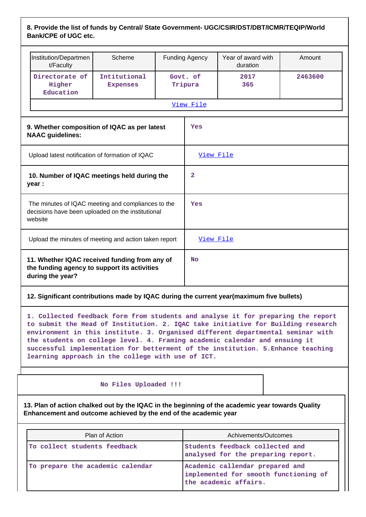## **8. Provide the list of funds by Central/ State Government- UGC/CSIR/DST/DBT/ICMR/TEQIP/World Bank/CPE of UGC etc.**

|                                                                                                                    | Institution/Departmen<br>t/Faculty                                                                                                                                                                                                                                                                                                                                                                                                                                             | Scheme                          |  | <b>Funding Agency</b> | Year of award with<br>duration | Amount  |
|--------------------------------------------------------------------------------------------------------------------|--------------------------------------------------------------------------------------------------------------------------------------------------------------------------------------------------------------------------------------------------------------------------------------------------------------------------------------------------------------------------------------------------------------------------------------------------------------------------------|---------------------------------|--|-----------------------|--------------------------------|---------|
|                                                                                                                    | Directorate of<br>Higher<br>Education                                                                                                                                                                                                                                                                                                                                                                                                                                          | Intitutional<br><b>Expenses</b> |  | Govt. of<br>Tripura   | 2017<br>365                    | 2463600 |
|                                                                                                                    |                                                                                                                                                                                                                                                                                                                                                                                                                                                                                |                                 |  | View File             |                                |         |
|                                                                                                                    | 9. Whether composition of IQAC as per latest<br><b>NAAC</b> guidelines:                                                                                                                                                                                                                                                                                                                                                                                                        |                                 |  | Yes                   |                                |         |
| Upload latest notification of formation of IQAC                                                                    |                                                                                                                                                                                                                                                                                                                                                                                                                                                                                |                                 |  | View File             |                                |         |
| 10. Number of IQAC meetings held during the<br>year :                                                              |                                                                                                                                                                                                                                                                                                                                                                                                                                                                                |                                 |  | $\overline{2}$        |                                |         |
| The minutes of IQAC meeting and compliances to the<br>decisions have been uploaded on the institutional<br>website |                                                                                                                                                                                                                                                                                                                                                                                                                                                                                |                                 |  | Yes                   |                                |         |
|                                                                                                                    | Upload the minutes of meeting and action taken report                                                                                                                                                                                                                                                                                                                                                                                                                          |                                 |  | View File             |                                |         |
| 11. Whether IQAC received funding from any of<br>the funding agency to support its activities<br>during the year?  |                                                                                                                                                                                                                                                                                                                                                                                                                                                                                |                                 |  | <b>No</b>             |                                |         |
|                                                                                                                    | 12. Significant contributions made by IQAC during the current year(maximum five bullets)                                                                                                                                                                                                                                                                                                                                                                                       |                                 |  |                       |                                |         |
|                                                                                                                    | 1. Collected feedback form from students and analyse it for preparing the report<br>to submit the Head of Institution. 2. IQAC take initiative for Building research<br>environment in this institute. 3. Organised different departmental seminar with<br>the students on college level. 4. Framing academic calendar and ensuing it<br>successful implementation for betterment of the institution. 5. Enhance teaching<br>learning approach in the college with use of ICT. |                                 |  |                       |                                |         |

### **No Files Uploaded !!!**

**13. Plan of action chalked out by the IQAC in the beginning of the academic year towards Quality Enhancement and outcome achieved by the end of the academic year**

| Plan of Action                   | Achivements/Outcomes                                                                              |
|----------------------------------|---------------------------------------------------------------------------------------------------|
| To collect students feedback     | Students feedback collected and<br>analysed for the preparing report.                             |
| To prepare the academic calendar | Academic callendar prepared and<br>implemented for smooth functioning of<br>the academic affairs. |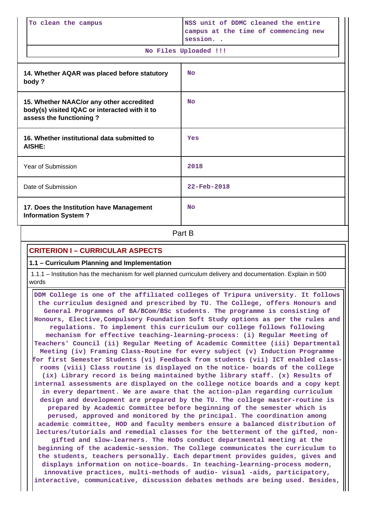| To clean the campus                                                                                                  | NSS unit of DDMC cleaned the entire<br>campus at the time of commencing new<br>session<br>No Files Uploaded !!! |
|----------------------------------------------------------------------------------------------------------------------|-----------------------------------------------------------------------------------------------------------------|
| 14. Whether AQAR was placed before statutory<br>body?                                                                | <b>No</b>                                                                                                       |
| 15. Whether NAAC/or any other accredited<br>body(s) visited IQAC or interacted with it to<br>assess the functioning? | <b>No</b>                                                                                                       |
| 16. Whether institutional data submitted to<br>AISHE:                                                                | Yes                                                                                                             |
| Year of Submission                                                                                                   | 2018                                                                                                            |
| Date of Submission                                                                                                   | $22 - Feb - 2018$                                                                                               |
| 17. Does the Institution have Management<br><b>Information System?</b>                                               | <b>No</b>                                                                                                       |
|                                                                                                                      | Part B                                                                                                          |

## **CRITERION I – CURRICULAR ASPECTS**

#### **1.1 – Curriculum Planning and Implementation**

 1.1.1 – Institution has the mechanism for well planned curriculum delivery and documentation. Explain in 500 words

 **DDM College is one of the affiliated colleges of Tripura university. It follows the curriculum designed and prescribed by TU. The College, offers Honours and General Programmes of BA/BCom/BSc students. The programme is consisting of Honours, Elective,Compulsory Foundation Soft Study options as per the rules and regulations. To implement this curriculum our college follows following mechanism for effective teaching-learning-process: (i) Regular Meeting of Teachers' Council (ii) Regular Meeting of Academic Committee (iii) Departmental Meeting (iv) Framing Class-Routine for every subject (v) Induction Programme for first Semester Students (vi) Feedback from students (vii) ICT enabled classrooms (viii) Class routine is displayed on the notice- boards of the college (ix) Library record is being maintained bythe library staff. (x) Results of internal assessments are displayed on the college notice boards and a copy kept in every department. We are aware that the action-plan regarding curriculum design and development are prepared by the TU. The college master-routine is prepared by Academic Committee before beginning of the semester which is perused, approved and monitored by the principal. The coordination among academic committee, HOD and faculty members ensure a balanced distribution of lectures/tutorials and remedial classes for the betterment of the gifted, nongifted and slow-learners. The HoDs conduct departmental meeting at the beginning of the academic-session. The College communicates the curriculum to the students, teachers personally. Each department provides guides, gives and displays information on notice–boards. In teaching-learning-process modern, innovative practices, multi-methods of audio- visual -aids, participatory, interactive, communicative, discussion debates methods are being used. Besides,**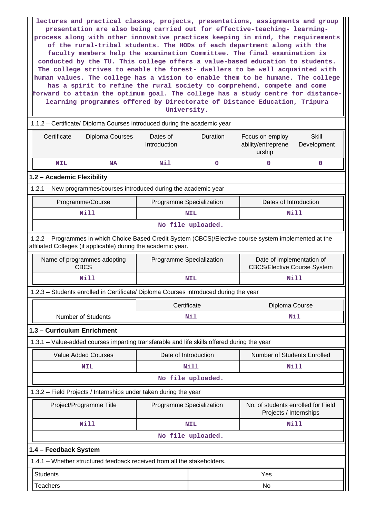**lectures and practical classes, projects, presentations, assignments and group presentation are also being carried out for effective-teaching- learningprocess along with other innovative practices keeping in mind, the requirements of the rural-tribal students. The HODs of each department along with the faculty members help the examination Committee. The final examination is conducted by the TU. This college offers a value-based education to students. The college strives to enable the forest- dwellers to be well acquainted with human values. The college has a vision to enable them to be humane. The college has a spirit to refine the rural society to comprehend, compete and come forward to attain the optimum goal. The college has a study centre for distancelearning programmes offered by Directorate of Distance Education, Tripura University.**

 1.1.2 – Certificate/ Diploma Courses introduced during the academic year Certificate Diploma Courses Dates of **Introduction** Duration Focus on employ ability/entreprene urship Skill Development  **NIL NA Nil 0 0 0 1.2 – Academic Flexibility** 1.2.1 – New programmes/courses introduced during the academic year Programme/Course **Programme Specialization** Programme Specialization **Programme** Dates of Introduction  **Nill NIL Nill No file uploaded.** 1.2.2 – Programmes in which Choice Based Credit System (CBCS)/Elective course system implemented at the affiliated Colleges (if applicable) during the academic year. Name of programmes adopting CBCS Programme Specialization Figure Date of implementation of CBCS/Elective Course System  **Nill NIL Nill** 1.2.3 – Students enrolled in Certificate/ Diploma Courses introduced during the year Certificate Diploma Course Number of Students **Nil Nil 1.3 – Curriculum Enrichment** 1.3.1 – Value-added courses imparting transferable and life skills offered during the year Value Added Courses **Date of Introduction** Number of Students Enrolled  **NIL Nill Nill No file uploaded.** 1.3.2 – Field Projects / Internships under taken during the year Project/Programme Title | Programme Specialization | No. of students enrolled for Field Projects / Internships  **Nill NIL Nill No file uploaded. 1.4 – Feedback System** 1.4.1 – Whether structured feedback received from all the stakeholders. **Students** Yes

Teachers No. 2006. In the set of the set of the set of the set of the set of the set of the set of the set of th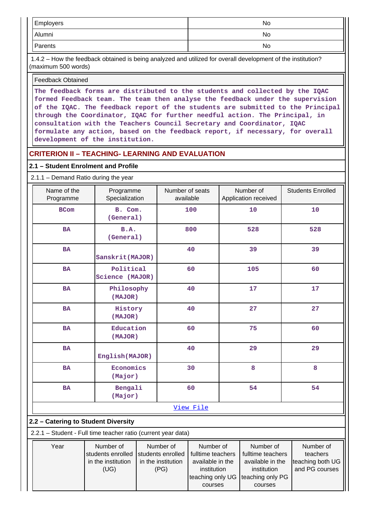| Employers | No  |
|-----------|-----|
| Alumni    | No. |
| Parents   | No  |

 1.4.2 – How the feedback obtained is being analyzed and utilized for overall development of the institution? (maximum 500 words)

Feedback Obtained

**The feedback forms are distributed to the students and collected by the IQAC formed Feedback team. The team then analyse the feedback under the supervision of the IQAC. The feedback report of the students are submitted to the Principal through the Coordinator, IQAC for further needful action. The Principal, in consultation with the Teachers Council Secretary and Coordinator, IQAC formulate any action, based on the feedback report, if necessary, for overall development of the institution.**

## **CRITERION II – TEACHING- LEARNING AND EVALUATION**

(UG)

(PG)

institution

courses

teaching only UG | teaching only PG

institution

and PG courses

courses

## **2.1 – Student Enrolment and Profile**

2.1.1 – Demand Ratio during the year

| Name of the<br>Programme                                      | Programme<br>Specialization                          |                                                      | Number of seats<br>available |                                                    |    | Number of<br>Application received                  | <b>Students Enrolled</b>                  |
|---------------------------------------------------------------|------------------------------------------------------|------------------------------------------------------|------------------------------|----------------------------------------------------|----|----------------------------------------------------|-------------------------------------------|
| <b>BCom</b>                                                   | B. Com.<br>(General)                                 |                                                      |                              | 100                                                |    | 10                                                 | 10                                        |
| <b>BA</b>                                                     | B.A.<br>(General)                                    |                                                      |                              | 800                                                |    | 528                                                | 528                                       |
| <b>BA</b>                                                     | Sanskrit (MAJOR)                                     |                                                      |                              | 40                                                 |    | 39                                                 | 39                                        |
| <b>BA</b>                                                     | Political<br>Science (MAJOR)                         |                                                      |                              | 60                                                 |    | 105                                                | 60                                        |
| <b>BA</b>                                                     | Philosophy<br>(MAJOR)                                |                                                      |                              | 40                                                 | 17 |                                                    | 17                                        |
| <b>BA</b>                                                     | History<br>(MAJOR)                                   |                                                      | 40                           |                                                    |    | 27                                                 | 27                                        |
| <b>BA</b>                                                     | Education<br>(MAJOR)                                 |                                                      | 60                           |                                                    |    | 75                                                 | 60                                        |
| <b>BA</b>                                                     | 40<br>English (MAJOR)                                |                                                      |                              | 29                                                 | 29 |                                                    |                                           |
| <b>BA</b>                                                     | Economics<br>(Major)                                 |                                                      |                              | 30                                                 | 8  |                                                    | 8                                         |
| <b>BA</b>                                                     | Bengali<br>(Major)                                   |                                                      |                              | 60                                                 |    | 54                                                 | 54                                        |
|                                                               | View File                                            |                                                      |                              |                                                    |    |                                                    |                                           |
|                                                               | 2.2 - Catering to Student Diversity                  |                                                      |                              |                                                    |    |                                                    |                                           |
| 2.2.1 - Student - Full time teacher ratio (current year data) |                                                      |                                                      |                              |                                                    |    |                                                    |                                           |
| Year                                                          | Number of<br>students enrolled<br>in the institution | Number of<br>students enrolled<br>in the institution |                              | Number of<br>fulltime teachers<br>available in the |    | Number of<br>fulltime teachers<br>available in the | Number of<br>teachers<br>teaching both UG |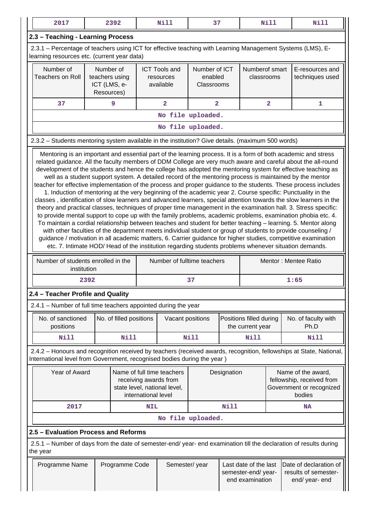| 2017                                                                                                                                                                                                                                                                                                                                                                                                                                                                                                                                                                                                                                                                                                                                                                                                                                                                                                                                                                                                                                                                                                                                                                                                                                                                                                                                                                                                                                                                                                               |                                                           | 2392                    |                           | <b>Nill</b>                                                                         | 37                                     |             |                                                                | <b>Nill</b>             | <b>Nill</b>                                                                                                         |
|--------------------------------------------------------------------------------------------------------------------------------------------------------------------------------------------------------------------------------------------------------------------------------------------------------------------------------------------------------------------------------------------------------------------------------------------------------------------------------------------------------------------------------------------------------------------------------------------------------------------------------------------------------------------------------------------------------------------------------------------------------------------------------------------------------------------------------------------------------------------------------------------------------------------------------------------------------------------------------------------------------------------------------------------------------------------------------------------------------------------------------------------------------------------------------------------------------------------------------------------------------------------------------------------------------------------------------------------------------------------------------------------------------------------------------------------------------------------------------------------------------------------|-----------------------------------------------------------|-------------------------|---------------------------|-------------------------------------------------------------------------------------|----------------------------------------|-------------|----------------------------------------------------------------|-------------------------|---------------------------------------------------------------------------------------------------------------------|
| 2.3 - Teaching - Learning Process                                                                                                                                                                                                                                                                                                                                                                                                                                                                                                                                                                                                                                                                                                                                                                                                                                                                                                                                                                                                                                                                                                                                                                                                                                                                                                                                                                                                                                                                                  |                                                           |                         |                           |                                                                                     |                                        |             |                                                                |                         |                                                                                                                     |
| 2.3.1 – Percentage of teachers using ICT for effective teaching with Learning Management Systems (LMS), E-<br>learning resources etc. (current year data)                                                                                                                                                                                                                                                                                                                                                                                                                                                                                                                                                                                                                                                                                                                                                                                                                                                                                                                                                                                                                                                                                                                                                                                                                                                                                                                                                          |                                                           |                         |                           |                                                                                     |                                        |             |                                                                |                         |                                                                                                                     |
| Number of<br><b>Teachers on Roll</b>                                                                                                                                                                                                                                                                                                                                                                                                                                                                                                                                                                                                                                                                                                                                                                                                                                                                                                                                                                                                                                                                                                                                                                                                                                                                                                                                                                                                                                                                               | Number of<br>teachers using<br>ICT (LMS, e-<br>Resources) |                         |                           | <b>ICT Tools and</b><br>resources<br>available                                      | Number of ICT<br>enabled<br>Classrooms |             | Numberof smart<br>classrooms                                   |                         | E-resources and<br>techniques used                                                                                  |
| 37                                                                                                                                                                                                                                                                                                                                                                                                                                                                                                                                                                                                                                                                                                                                                                                                                                                                                                                                                                                                                                                                                                                                                                                                                                                                                                                                                                                                                                                                                                                 |                                                           | 9                       |                           | $\overline{2}$                                                                      | $\overline{a}$                         |             |                                                                | $\overline{\mathbf{2}}$ | 1                                                                                                                   |
|                                                                                                                                                                                                                                                                                                                                                                                                                                                                                                                                                                                                                                                                                                                                                                                                                                                                                                                                                                                                                                                                                                                                                                                                                                                                                                                                                                                                                                                                                                                    |                                                           |                         |                           | No file uploaded.                                                                   |                                        |             |                                                                |                         |                                                                                                                     |
|                                                                                                                                                                                                                                                                                                                                                                                                                                                                                                                                                                                                                                                                                                                                                                                                                                                                                                                                                                                                                                                                                                                                                                                                                                                                                                                                                                                                                                                                                                                    |                                                           |                         |                           | No file uploaded.                                                                   |                                        |             |                                                                |                         |                                                                                                                     |
| 2.3.2 - Students mentoring system available in the institution? Give details. (maximum 500 words)                                                                                                                                                                                                                                                                                                                                                                                                                                                                                                                                                                                                                                                                                                                                                                                                                                                                                                                                                                                                                                                                                                                                                                                                                                                                                                                                                                                                                  |                                                           |                         |                           |                                                                                     |                                        |             |                                                                |                         |                                                                                                                     |
| Mentoring is an important and essential part of the learning process. It is a form of both academic and stress<br>related guidance. All the faculty members of DDM College are very much aware and careful about the all-round<br>development of the students and hence the college has adopted the mentoring system for effective teaching as<br>well as a student support system. A detailed record of the mentoring process is maintained by the mentor<br>teacher for effective implementation of the process and proper guidance to the students. These process includes<br>1. Induction of mentoring at the very beginning of the academic year 2. Course specific: Punctuality in the<br>classes, identification of slow learners and advanced learners, special attention towards the slow learners in the<br>theory and practical classes, techniques of proper time management in the examination hall. 3. Stress specific:<br>to provide mental support to cope up with the family problems, academic problems, examination phobia etc. 4.<br>To maintain a cordial relationship between teaches and student for better teaching - learning. 5. Mentor along<br>with other faculties of the department meets individual student or group of students to provide counseling /<br>guidance / motivation in all academic matters, 6. Carrier guidance for higher studies, competitive examination<br>etc. 7. Intimate HOD/ Head of the institution regarding students problems whenever situation demands. |                                                           |                         |                           |                                                                                     |                                        |             |                                                                |                         |                                                                                                                     |
| Number of students enrolled in the<br>institution                                                                                                                                                                                                                                                                                                                                                                                                                                                                                                                                                                                                                                                                                                                                                                                                                                                                                                                                                                                                                                                                                                                                                                                                                                                                                                                                                                                                                                                                  |                                                           |                         |                           | Number of fulltime teachers                                                         |                                        |             |                                                                |                         | Mentor: Mentee Ratio                                                                                                |
|                                                                                                                                                                                                                                                                                                                                                                                                                                                                                                                                                                                                                                                                                                                                                                                                                                                                                                                                                                                                                                                                                                                                                                                                                                                                                                                                                                                                                                                                                                                    | 2392                                                      |                         |                           |                                                                                     | 37                                     |             |                                                                |                         | 1:65                                                                                                                |
| 2.4 – Teacher Profile and Quality                                                                                                                                                                                                                                                                                                                                                                                                                                                                                                                                                                                                                                                                                                                                                                                                                                                                                                                                                                                                                                                                                                                                                                                                                                                                                                                                                                                                                                                                                  |                                                           |                         |                           |                                                                                     |                                        |             |                                                                |                         |                                                                                                                     |
| 2.4.1 - Number of full time teachers appointed during the year                                                                                                                                                                                                                                                                                                                                                                                                                                                                                                                                                                                                                                                                                                                                                                                                                                                                                                                                                                                                                                                                                                                                                                                                                                                                                                                                                                                                                                                     |                                                           |                         |                           |                                                                                     |                                        |             |                                                                |                         |                                                                                                                     |
| No. of sanctioned<br>positions                                                                                                                                                                                                                                                                                                                                                                                                                                                                                                                                                                                                                                                                                                                                                                                                                                                                                                                                                                                                                                                                                                                                                                                                                                                                                                                                                                                                                                                                                     |                                                           | No. of filled positions |                           | Vacant positions                                                                    |                                        |             | Positions filled during<br>the current year                    |                         | No. of faculty with<br>Ph.D                                                                                         |
| <b>Nill</b>                                                                                                                                                                                                                                                                                                                                                                                                                                                                                                                                                                                                                                                                                                                                                                                                                                                                                                                                                                                                                                                                                                                                                                                                                                                                                                                                                                                                                                                                                                        |                                                           | <b>Nill</b>             |                           |                                                                                     | Nill                                   |             | Nill                                                           |                         | Nill                                                                                                                |
| International level from Government, recognised bodies during the year)                                                                                                                                                                                                                                                                                                                                                                                                                                                                                                                                                                                                                                                                                                                                                                                                                                                                                                                                                                                                                                                                                                                                                                                                                                                                                                                                                                                                                                            |                                                           |                         |                           |                                                                                     |                                        |             |                                                                |                         | 2.4.2 - Honours and recognition received by teachers (received awards, recognition, fellowships at State, National, |
| Year of Award                                                                                                                                                                                                                                                                                                                                                                                                                                                                                                                                                                                                                                                                                                                                                                                                                                                                                                                                                                                                                                                                                                                                                                                                                                                                                                                                                                                                                                                                                                      |                                                           |                         | international level       | Name of full time teachers<br>receiving awards from<br>state level, national level, |                                        | Designation |                                                                |                         | Name of the award,<br>fellowship, received from<br>Government or recognized<br>bodies                               |
| 2017                                                                                                                                                                                                                                                                                                                                                                                                                                                                                                                                                                                                                                                                                                                                                                                                                                                                                                                                                                                                                                                                                                                                                                                                                                                                                                                                                                                                                                                                                                               |                                                           |                         | <b>Nill</b><br><b>NIL</b> |                                                                                     |                                        |             |                                                                |                         | NA                                                                                                                  |
|                                                                                                                                                                                                                                                                                                                                                                                                                                                                                                                                                                                                                                                                                                                                                                                                                                                                                                                                                                                                                                                                                                                                                                                                                                                                                                                                                                                                                                                                                                                    |                                                           |                         |                           | No file uploaded.                                                                   |                                        |             |                                                                |                         |                                                                                                                     |
| 2.5 - Evaluation Process and Reforms                                                                                                                                                                                                                                                                                                                                                                                                                                                                                                                                                                                                                                                                                                                                                                                                                                                                                                                                                                                                                                                                                                                                                                                                                                                                                                                                                                                                                                                                               |                                                           |                         |                           |                                                                                     |                                        |             |                                                                |                         |                                                                                                                     |
| 2.5.1 - Number of days from the date of semester-end/ year- end examination till the declaration of results during<br>the year                                                                                                                                                                                                                                                                                                                                                                                                                                                                                                                                                                                                                                                                                                                                                                                                                                                                                                                                                                                                                                                                                                                                                                                                                                                                                                                                                                                     |                                                           |                         |                           |                                                                                     |                                        |             |                                                                |                         |                                                                                                                     |
|                                                                                                                                                                                                                                                                                                                                                                                                                                                                                                                                                                                                                                                                                                                                                                                                                                                                                                                                                                                                                                                                                                                                                                                                                                                                                                                                                                                                                                                                                                                    | Programme Name<br>Programme Code                          |                         |                           | Semester/year                                                                       |                                        |             | Last date of the last<br>semester-end/year-<br>end examination |                         | Date of declaration of<br>results of semester-<br>end/ year- end                                                    |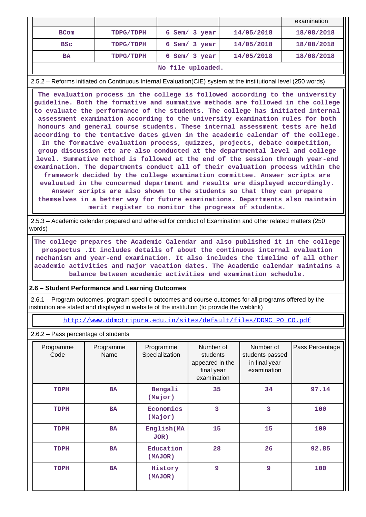|                   |            |               |            | examination |  |  |
|-------------------|------------|---------------|------------|-------------|--|--|
| <b>BCom</b>       | TDPG/TDPH  | 6 Sem/ 3 year | 14/05/2018 | 18/08/2018  |  |  |
| <b>BSC</b>        | TDPG/TDPH  | 6 Sem/ 3 year | 14/05/2018 | 18/08/2018  |  |  |
| <b>BA</b>         | 18/08/2018 |               |            |             |  |  |
| No file uploaded. |            |               |            |             |  |  |

2.5.2 – Reforms initiated on Continuous Internal Evaluation(CIE) system at the institutional level (250 words)

 **The evaluation process in the college is followed according to the university guideline. Both the formative and summative methods are followed in the college to evaluate the performance of the students. The college has initiated internal assessment examination according to the university examination rules for both honours and general course students. These internal assessment tests are held according to the tentative dates given in the academic calendar of the college. In the formative evaluation process, quizzes, projects, debate competition, group discussion etc are also conducted at the departmental level and college level. Summative method is followed at the end of the session through year-end examination. The departments conduct all of their evaluation process within the framework decided by the college examination committee. Answer scripts are evaluated in the concerned department and results are displayed accordingly. Answer scripts are also shown to the students so that they can prepare themselves in a better way for future examinations. Departments also maintain merit register to monitor the progress of students.**

 2.5.3 – Academic calendar prepared and adhered for conduct of Examination and other related matters (250 words)

 **The college prepares the Academic Calendar and also published it in the college prospectus .It includes details of about the continuous internal evaluation mechanism and year-end examination. It also includes the timeline of all other academic activities and major vacation dates. The Academic calendar maintains a balance between academic activities and examination schedule.**

## **2.6 – Student Performance and Learning Outcomes**

 2.6.1 – Program outcomes, program specific outcomes and course outcomes for all programs offered by the institution are stated and displayed in website of the institution (to provide the weblink)

[http://www.ddmctripura.edu.in/sites/default/files/DDMC\\_PO\\_CO.pdf](http://www.ddmctripura.edu.in/sites/default/files/DDMC_PO_CO.pdf)

2.6.2 – Pass percentage of students

| Programme<br>Code | Programme<br>Name | Programme<br>Specialization | Number of<br>students<br>appeared in the<br>final year<br>examination | Number of<br>students passed<br>in final year<br>examination | Pass Percentage |
|-------------------|-------------------|-----------------------------|-----------------------------------------------------------------------|--------------------------------------------------------------|-----------------|
| TDPH              | <b>BA</b>         | Bengali<br>(Major)          | 35                                                                    | 34                                                           | 97.14           |
| <b>TDPH</b>       | <b>BA</b>         | Economics<br>(Major)        | 3                                                                     | 3                                                            | 100             |
| TDPH              | <b>BA</b>         | English (MA<br>$JOR$ )      | 15                                                                    | 15                                                           | 100             |
| TDPH              | <b>BA</b>         | Education<br>(MAJOR)        | 28                                                                    | 26                                                           | 92.85           |
| TDPH              | <b>BA</b>         | History<br>(MAJOR)          | 9                                                                     | 9                                                            | 100             |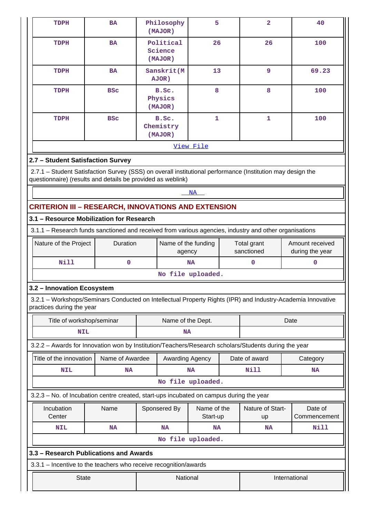| <b>TDPH</b>                                                                                            | <b>BA</b>                                                                                                                                                                 |                   | Philosophy<br>(MAJOR)           | 5                       |               | $\overline{2}$            |  | 40                                 |
|--------------------------------------------------------------------------------------------------------|---------------------------------------------------------------------------------------------------------------------------------------------------------------------------|-------------------|---------------------------------|-------------------------|---------------|---------------------------|--|------------------------------------|
| TDPH                                                                                                   | <b>BA</b>                                                                                                                                                                 |                   | Political<br>Science<br>(MAJOR) | 26                      |               | 26                        |  | 100                                |
| TDPH                                                                                                   | 13<br>Sanskrit(M<br><b>BA</b><br>AJOR)                                                                                                                                    |                   |                                 | $\overline{9}$          |               | 69.23                     |  |                                    |
| <b>TDPH</b>                                                                                            | <b>BSC</b>                                                                                                                                                                |                   | B.Sc.<br>Physics<br>(MAJOR)     | 8                       |               | 8                         |  | 100                                |
| TDPH                                                                                                   | <b>BSC</b>                                                                                                                                                                |                   | B.Sc.<br>Chemistry<br>(MAJOR)   | 1                       |               | 1                         |  | 100                                |
|                                                                                                        |                                                                                                                                                                           |                   |                                 | View File               |               |                           |  |                                    |
| 2.7 - Student Satisfaction Survey                                                                      |                                                                                                                                                                           |                   |                                 |                         |               |                           |  |                                    |
|                                                                                                        | 2.7.1 - Student Satisfaction Survey (SSS) on overall institutional performance (Institution may design the<br>questionnaire) (results and details be provided as weblink) |                   |                                 |                         |               |                           |  |                                    |
|                                                                                                        |                                                                                                                                                                           |                   |                                 | <b>NA</b>               |               |                           |  |                                    |
|                                                                                                        | <b>CRITERION III - RESEARCH, INNOVATIONS AND EXTENSION</b>                                                                                                                |                   |                                 |                         |               |                           |  |                                    |
| 3.1 - Resource Mobilization for Research                                                               |                                                                                                                                                                           |                   |                                 |                         |               |                           |  |                                    |
| 3.1.1 - Research funds sanctioned and received from various agencies, industry and other organisations |                                                                                                                                                                           |                   |                                 |                         |               |                           |  |                                    |
| Nature of the Project<br>Duration                                                                      |                                                                                                                                                                           |                   | Name of the funding<br>agency   |                         |               | Total grant<br>sanctioned |  | Amount received<br>during the year |
| <b>Nill</b>                                                                                            | 0                                                                                                                                                                         |                   |                                 | <b>NA</b>               |               | 0                         |  | $\mathbf 0$                        |
|                                                                                                        |                                                                                                                                                                           |                   |                                 | No file uploaded.       |               |                           |  |                                    |
| 3.2 - Innovation Ecosystem                                                                             |                                                                                                                                                                           |                   |                                 |                         |               |                           |  |                                    |
| practices during the year                                                                              | 3.2.1 - Workshops/Seminars Conducted on Intellectual Property Rights (IPR) and Industry-Academia Innovative                                                               |                   |                                 |                         |               |                           |  |                                    |
| Title of workshop/seminar                                                                              |                                                                                                                                                                           | Name of the Dept. |                                 |                         | Date          |                           |  |                                    |
| <b>NIL</b>                                                                                             |                                                                                                                                                                           |                   | <b>NA</b>                       |                         |               |                           |  |                                    |
|                                                                                                        | 3.2.2 - Awards for Innovation won by Institution/Teachers/Research scholars/Students during the year                                                                      |                   |                                 |                         |               |                           |  |                                    |
| Title of the innovation                                                                                | Name of Awardee                                                                                                                                                           |                   | Awarding Agency                 |                         |               | Date of award             |  | Category                           |
| <b>NIL</b>                                                                                             | <b>NA</b>                                                                                                                                                                 |                   |                                 | <b>NA</b>               |               | Nill                      |  | <b>NA</b>                          |
|                                                                                                        |                                                                                                                                                                           |                   | No file uploaded.               |                         |               |                           |  |                                    |
|                                                                                                        | 3.2.3 - No. of Incubation centre created, start-ups incubated on campus during the year                                                                                   |                   |                                 |                         |               |                           |  |                                    |
| Incubation<br>Center                                                                                   | Name                                                                                                                                                                      |                   | Sponsered By                    | Name of the<br>Start-up |               | Nature of Start-<br>up    |  | Date of<br>Commencement            |
| <b>NIL</b>                                                                                             | <b>NA</b>                                                                                                                                                                 |                   | <b>NA</b>                       | <b>NA</b>               |               | NA                        |  | <b>Nill</b>                        |
|                                                                                                        |                                                                                                                                                                           |                   |                                 | No file uploaded.       |               |                           |  |                                    |
|                                                                                                        | 3.3 - Research Publications and Awards                                                                                                                                    |                   |                                 |                         |               |                           |  |                                    |
|                                                                                                        | 3.3.1 - Incentive to the teachers who receive recognition/awards                                                                                                          |                   |                                 |                         |               |                           |  |                                    |
| <b>State</b>                                                                                           |                                                                                                                                                                           | National          |                                 |                         | International |                           |  |                                    |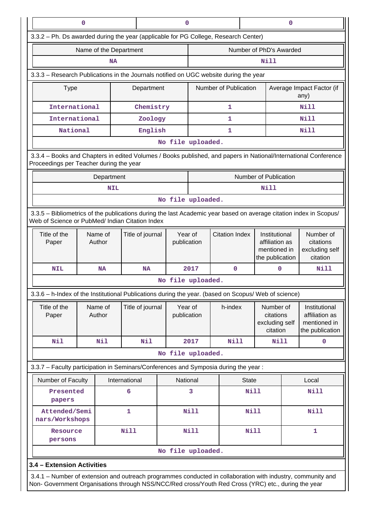|                                                                                                                                                                                                                    | 0                                                                                                                                                                     |                        | 0<br>0           |                        |                        |                       |                                                                    |                                                      |                                                      |                                                                    |
|--------------------------------------------------------------------------------------------------------------------------------------------------------------------------------------------------------------------|-----------------------------------------------------------------------------------------------------------------------------------------------------------------------|------------------------|------------------|------------------------|------------------------|-----------------------|--------------------------------------------------------------------|------------------------------------------------------|------------------------------------------------------|--------------------------------------------------------------------|
| 3.3.2 - Ph. Ds awarded during the year (applicable for PG College, Research Center)                                                                                                                                |                                                                                                                                                                       |                        |                  |                        |                        |                       |                                                                    |                                                      |                                                      |                                                                    |
|                                                                                                                                                                                                                    |                                                                                                                                                                       | Name of the Department |                  |                        |                        |                       |                                                                    | Number of PhD's Awarded                              |                                                      |                                                                    |
|                                                                                                                                                                                                                    |                                                                                                                                                                       | <b>NA</b>              |                  |                        |                        |                       |                                                                    | Nill                                                 |                                                      |                                                                    |
| 3.3.3 - Research Publications in the Journals notified on UGC website during the year                                                                                                                              |                                                                                                                                                                       |                        |                  |                        |                        |                       |                                                                    |                                                      |                                                      |                                                                    |
| <b>Type</b>                                                                                                                                                                                                        |                                                                                                                                                                       |                        | Department       |                        |                        | Number of Publication |                                                                    |                                                      | Average Impact Factor (if<br>any)                    |                                                                    |
| International                                                                                                                                                                                                      |                                                                                                                                                                       |                        | Chemistry        |                        |                        | 1                     |                                                                    |                                                      |                                                      | Nill                                                               |
| International                                                                                                                                                                                                      |                                                                                                                                                                       |                        | Zoology          |                        |                        | 1                     |                                                                    |                                                      |                                                      | Nill                                                               |
| National                                                                                                                                                                                                           |                                                                                                                                                                       |                        | English          |                        |                        | 1                     |                                                                    |                                                      |                                                      | Nill                                                               |
|                                                                                                                                                                                                                    |                                                                                                                                                                       |                        |                  |                        | No file uploaded.      |                       |                                                                    |                                                      |                                                      |                                                                    |
| 3.3.4 - Books and Chapters in edited Volumes / Books published, and papers in National/International Conference<br>Proceedings per Teacher during the year                                                         |                                                                                                                                                                       |                        |                  |                        |                        |                       |                                                                    |                                                      |                                                      |                                                                    |
|                                                                                                                                                                                                                    |                                                                                                                                                                       | Department             |                  |                        |                        |                       |                                                                    | Number of Publication                                |                                                      |                                                                    |
|                                                                                                                                                                                                                    |                                                                                                                                                                       | <b>NIL</b>             |                  |                        |                        |                       |                                                                    | Nill                                                 |                                                      |                                                                    |
|                                                                                                                                                                                                                    |                                                                                                                                                                       |                        |                  |                        | No file uploaded.      |                       |                                                                    |                                                      |                                                      |                                                                    |
|                                                                                                                                                                                                                    | 3.3.5 - Bibliometrics of the publications during the last Academic year based on average citation index in Scopus/<br>Web of Science or PubMed/ Indian Citation Index |                        |                  |                        |                        |                       |                                                                    |                                                      |                                                      |                                                                    |
| Title of the<br>Paper                                                                                                                                                                                              | Title of journal<br>Name of<br>Author                                                                                                                                 |                        |                  | Year of<br>publication | <b>Citation Index</b>  |                       | Institutional<br>affiliation as<br>mentioned in<br>the publication |                                                      | Number of<br>citations<br>excluding self<br>citation |                                                                    |
| <b>NIL</b>                                                                                                                                                                                                         |                                                                                                                                                                       | <b>NA</b>              | <b>NA</b>        |                        | 2017                   | 0                     |                                                                    | $\mathbf 0$                                          |                                                      | Nill                                                               |
|                                                                                                                                                                                                                    |                                                                                                                                                                       |                        |                  |                        | No file uploaded.      |                       |                                                                    |                                                      |                                                      |                                                                    |
| 3.3.6 – h-Index of the Institutional Publications during the year. (based on Scopus/ Web of science)                                                                                                               |                                                                                                                                                                       |                        |                  |                        |                        |                       |                                                                    |                                                      |                                                      |                                                                    |
| Title of the<br>Paper                                                                                                                                                                                              |                                                                                                                                                                       | Name of<br>Author      | Title of journal |                        | Year of<br>publication | h-index               |                                                                    | Number of<br>citations<br>excluding self<br>citation |                                                      | Institutional<br>affiliation as<br>mentioned in<br>the publication |
| Nil                                                                                                                                                                                                                |                                                                                                                                                                       | Nil                    | <b>Nil</b>       |                        | 2017                   | <b>Nill</b>           |                                                                    | Nill                                                 |                                                      | $\mathbf{0}$                                                       |
|                                                                                                                                                                                                                    |                                                                                                                                                                       |                        |                  |                        | No file uploaded.      |                       |                                                                    |                                                      |                                                      |                                                                    |
| 3.3.7 - Faculty participation in Seminars/Conferences and Symposia during the year:                                                                                                                                |                                                                                                                                                                       |                        |                  |                        |                        |                       |                                                                    |                                                      |                                                      |                                                                    |
| Number of Faculty                                                                                                                                                                                                  |                                                                                                                                                                       |                        | International    |                        | National               |                       | <b>State</b>                                                       |                                                      |                                                      | Local                                                              |
| Presented<br>papers                                                                                                                                                                                                |                                                                                                                                                                       |                        | 6                |                        | 3                      |                       | <b>Nill</b>                                                        |                                                      |                                                      | <b>Nill</b>                                                        |
| Attended/Semi<br>nars/Workshops                                                                                                                                                                                    |                                                                                                                                                                       |                        | 1                |                        | <b>Nill</b>            |                       | Nill                                                               |                                                      |                                                      | Nill                                                               |
| Resource<br>persons                                                                                                                                                                                                |                                                                                                                                                                       |                        | <b>Nill</b>      |                        | <b>Nill</b>            |                       | Nill                                                               |                                                      |                                                      | 1                                                                  |
|                                                                                                                                                                                                                    |                                                                                                                                                                       |                        |                  |                        | No file uploaded.      |                       |                                                                    |                                                      |                                                      |                                                                    |
| 3.4 - Extension Activities                                                                                                                                                                                         |                                                                                                                                                                       |                        |                  |                        |                        |                       |                                                                    |                                                      |                                                      |                                                                    |
| 3.4.1 - Number of extension and outreach programmes conducted in collaboration with industry, community and<br>Non- Government Organisations through NSS/NCC/Red cross/Youth Red Cross (YRC) etc., during the year |                                                                                                                                                                       |                        |                  |                        |                        |                       |                                                                    |                                                      |                                                      |                                                                    |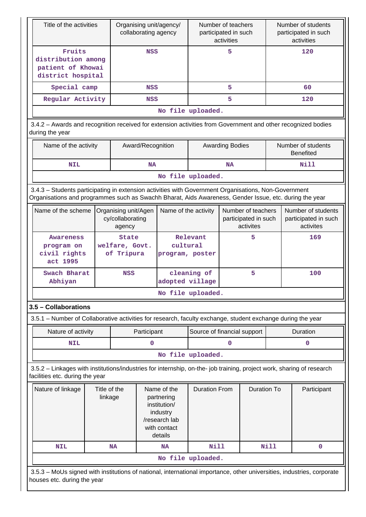| Title of the activities                                                                                                                                                                                        | Organising unit/agency/<br>collaborating agency |                                              | Number of teachers<br>participated in such<br>activities |                                                         |                                         | Number of students<br>participated in such<br>activities |                                                         |      |                                        |
|----------------------------------------------------------------------------------------------------------------------------------------------------------------------------------------------------------------|-------------------------------------------------|----------------------------------------------|----------------------------------------------------------|---------------------------------------------------------|-----------------------------------------|----------------------------------------------------------|---------------------------------------------------------|------|----------------------------------------|
| Fruits<br>distribution among<br>patient of Khowai<br>district hospital                                                                                                                                         |                                                 | <b>NSS</b>                                   |                                                          | 5                                                       |                                         |                                                          | 120                                                     |      |                                        |
| Special camp                                                                                                                                                                                                   |                                                 | <b>NSS</b>                                   |                                                          |                                                         | 5                                       |                                                          |                                                         |      | 60                                     |
| Regular Activity                                                                                                                                                                                               |                                                 |                                              | <b>NSS</b>                                               |                                                         | 5                                       |                                                          |                                                         | 120  |                                        |
|                                                                                                                                                                                                                |                                                 |                                              |                                                          | No file uploaded.                                       |                                         |                                                          |                                                         |      |                                        |
| 3.4.2 - Awards and recognition received for extension activities from Government and other recognized bodies<br>during the year                                                                                |                                                 |                                              |                                                          |                                                         |                                         |                                                          |                                                         |      |                                        |
| Name of the activity                                                                                                                                                                                           |                                                 |                                              | Award/Recognition                                        |                                                         |                                         | <b>Awarding Bodies</b>                                   |                                                         |      | Number of students<br><b>Benefited</b> |
| <b>NIL</b>                                                                                                                                                                                                     |                                                 |                                              | <b>NA</b>                                                |                                                         |                                         | <b>NA</b>                                                |                                                         |      | <b>Nill</b>                            |
|                                                                                                                                                                                                                |                                                 |                                              |                                                          | No file uploaded.                                       |                                         |                                                          |                                                         |      |                                        |
| 3.4.3 - Students participating in extension activities with Government Organisations, Non-Government<br>Organisations and programmes such as Swachh Bharat, Aids Awareness, Gender Issue, etc. during the year |                                                 |                                              |                                                          |                                                         |                                         |                                                          |                                                         |      |                                        |
| Name of the scheme<br>Organising unit/Agen<br>cy/collaborating<br>agency                                                                                                                                       |                                                 | Name of the activity                         |                                                          | Number of teachers<br>participated in such<br>activites |                                         |                                                          | Number of students<br>participated in such<br>activites |      |                                        |
| <b>Awareness</b><br>program on<br>civil rights<br>act 1995                                                                                                                                                     |                                                 | <b>State</b><br>welfare, Govt.<br>of Tripura |                                                          |                                                         | Relevant<br>cultural<br>program, poster |                                                          | 5                                                       |      | 169                                    |
| Swach Bharat<br>Abhiyan                                                                                                                                                                                        |                                                 | <b>NSS</b>                                   |                                                          | cleaning of<br>adopted village                          |                                         |                                                          | 5                                                       |      | 100                                    |
|                                                                                                                                                                                                                |                                                 |                                              |                                                          | No file uploaded.                                       |                                         |                                                          |                                                         |      |                                        |
| 3.5 - Collaborations                                                                                                                                                                                           |                                                 |                                              |                                                          |                                                         |                                         |                                                          |                                                         |      |                                        |
| 3.5.1 – Number of Collaborative activities for research, faculty exchange, student exchange during the year                                                                                                    |                                                 |                                              |                                                          |                                                         |                                         |                                                          |                                                         |      |                                        |
| Nature of activity                                                                                                                                                                                             |                                                 |                                              | Participant                                              |                                                         | Source of financial support             |                                                          |                                                         |      | Duration                               |
| <b>NIL</b>                                                                                                                                                                                                     |                                                 |                                              | 0                                                        |                                                         |                                         | 0                                                        |                                                         |      | 0                                      |
|                                                                                                                                                                                                                |                                                 |                                              |                                                          | No file uploaded.                                       |                                         |                                                          |                                                         |      |                                        |
| 3.5.2 - Linkages with institutions/industries for internship, on-the- job training, project work, sharing of research<br>facilities etc. during the year                                                       |                                                 |                                              |                                                          |                                                         |                                         |                                                          |                                                         |      |                                        |
| Nature of linkage<br>Title of the<br>Name of the<br>linkage<br>partnering<br>institution/<br>industry<br>/research lab<br>with contact<br>details                                                              |                                                 |                                              | <b>Duration From</b>                                     |                                                         | <b>Duration To</b>                      |                                                          | Participant                                             |      |                                        |
| <b>NIL</b>                                                                                                                                                                                                     |                                                 | <b>NA</b>                                    |                                                          | <b>NA</b>                                               | <b>Nill</b>                             |                                                          |                                                         | Nill | $\mathbf 0$                            |
| No file uploaded.                                                                                                                                                                                              |                                                 |                                              |                                                          |                                                         |                                         |                                                          |                                                         |      |                                        |
| 3.5.3 - MoUs signed with institutions of national, international importance, other universities, industries, corporate<br>houses etc. during the year                                                          |                                                 |                                              |                                                          |                                                         |                                         |                                                          |                                                         |      |                                        |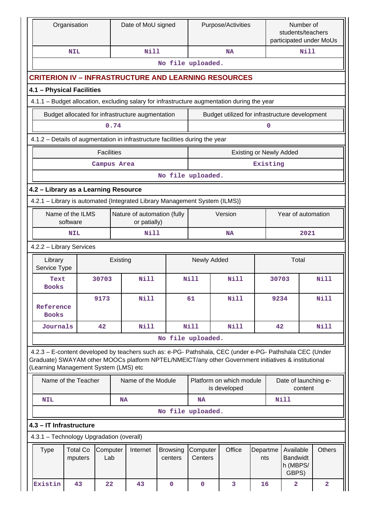| Organisation                             |                            |                   |             | Date of MoU signed                               |                                                                              |                     | Purpose/Activities                                                                                                                                                                                             |                 | Number of<br>students/teachers<br>participated under MoUs |                                                   |             |                         |
|------------------------------------------|----------------------------|-------------------|-------------|--------------------------------------------------|------------------------------------------------------------------------------|---------------------|----------------------------------------------------------------------------------------------------------------------------------------------------------------------------------------------------------------|-----------------|-----------------------------------------------------------|---------------------------------------------------|-------------|-------------------------|
|                                          | <b>NIL</b>                 |                   |             | <b>Nill</b>                                      |                                                                              |                     | <b>NA</b>                                                                                                                                                                                                      |                 |                                                           |                                                   | <b>Nill</b> |                         |
|                                          |                            |                   |             |                                                  | No file uploaded.                                                            |                     |                                                                                                                                                                                                                |                 |                                                           |                                                   |             |                         |
|                                          |                            |                   |             |                                                  |                                                                              |                     | <b>CRITERION IV – INFRASTRUCTURE AND LEARNING RESOURCES</b>                                                                                                                                                    |                 |                                                           |                                                   |             |                         |
| 4.1 - Physical Facilities                |                            |                   |             |                                                  |                                                                              |                     |                                                                                                                                                                                                                |                 |                                                           |                                                   |             |                         |
|                                          |                            |                   |             |                                                  |                                                                              |                     | 4.1.1 - Budget allocation, excluding salary for infrastructure augmentation during the year                                                                                                                    |                 |                                                           |                                                   |             |                         |
|                                          |                            |                   |             | Budget allocated for infrastructure augmentation |                                                                              |                     | Budget utilized for infrastructure development                                                                                                                                                                 |                 |                                                           |                                                   |             |                         |
|                                          |                            |                   | 0.74        |                                                  |                                                                              |                     |                                                                                                                                                                                                                |                 | 0                                                         |                                                   |             |                         |
|                                          |                            |                   |             |                                                  | 4.1.2 - Details of augmentation in infrastructure facilities during the year |                     |                                                                                                                                                                                                                |                 |                                                           |                                                   |             |                         |
|                                          |                            | <b>Facilities</b> |             |                                                  |                                                                              |                     | <b>Existing or Newly Added</b>                                                                                                                                                                                 |                 |                                                           |                                                   |             |                         |
|                                          |                            |                   | Campus Area |                                                  |                                                                              |                     |                                                                                                                                                                                                                |                 | Existing                                                  |                                                   |             |                         |
|                                          |                            |                   |             |                                                  | No file uploaded.                                                            |                     |                                                                                                                                                                                                                |                 |                                                           |                                                   |             |                         |
| 4.2 - Library as a Learning Resource     |                            |                   |             |                                                  |                                                                              |                     |                                                                                                                                                                                                                |                 |                                                           |                                                   |             |                         |
|                                          |                            |                   |             |                                                  | 4.2.1 - Library is automated {Integrated Library Management System (ILMS)}   |                     |                                                                                                                                                                                                                |                 |                                                           |                                                   |             |                         |
| Name of the ILMS<br>software             |                            |                   |             | Nature of automation (fully<br>or patially)      |                                                                              | Version             |                                                                                                                                                                                                                |                 | Year of automation                                        |                                                   |             |                         |
| <b>NIL</b>                               |                            |                   |             | Nill                                             |                                                                              |                     | <b>NA</b>                                                                                                                                                                                                      |                 |                                                           |                                                   | 2021        |                         |
| 4.2.2 - Library Services                 |                            |                   |             |                                                  |                                                                              |                     |                                                                                                                                                                                                                |                 |                                                           |                                                   |             |                         |
| Library<br>Service Type                  |                            |                   | Existing    |                                                  | Newly Added                                                                  |                     |                                                                                                                                                                                                                |                 |                                                           | Total                                             |             |                         |
| Text<br><b>Books</b>                     |                            | 30703             |             | <b>Nill</b>                                      |                                                                              | Nill<br>Nill        |                                                                                                                                                                                                                |                 | 30703                                                     |                                                   |             | Nill                    |
| Reference<br><b>Books</b>                |                            | 9173              |             | Nill                                             |                                                                              | 61<br><b>Nill</b>   |                                                                                                                                                                                                                |                 | 9234                                                      |                                                   |             | <b>Nill</b>             |
| Journals                                 |                            | 42                |             | <b>Nill</b>                                      |                                                                              | Nill                | Nill                                                                                                                                                                                                           |                 | 42                                                        |                                                   |             | Nill                    |
|                                          |                            |                   |             |                                                  | No file uploaded.                                                            |                     |                                                                                                                                                                                                                |                 |                                                           |                                                   |             |                         |
| (Learning Management System (LMS) etc    |                            |                   |             |                                                  |                                                                              |                     | 4.2.3 - E-content developed by teachers such as: e-PG- Pathshala, CEC (under e-PG- Pathshala CEC (Under<br>Graduate) SWAYAM other MOOCs platform NPTEL/NMEICT/any other Government initiatives & institutional |                 |                                                           |                                                   |             |                         |
|                                          | Name of the Teacher        |                   |             | Name of the Module                               |                                                                              |                     | Platform on which module<br>is developed                                                                                                                                                                       |                 |                                                           | Date of launching e-<br>content                   |             |                         |
| <b>NIL</b>                               |                            |                   | <b>NA</b>   |                                                  |                                                                              | <b>NA</b>           |                                                                                                                                                                                                                |                 |                                                           | Nill                                              |             |                         |
|                                          |                            |                   |             |                                                  | No file uploaded.                                                            |                     |                                                                                                                                                                                                                |                 |                                                           |                                                   |             |                         |
| 4.3 - IT Infrastructure                  |                            |                   |             |                                                  |                                                                              |                     |                                                                                                                                                                                                                |                 |                                                           |                                                   |             |                         |
| 4.3.1 - Technology Upgradation (overall) |                            |                   |             |                                                  |                                                                              |                     |                                                                                                                                                                                                                |                 |                                                           |                                                   |             |                         |
| Type                                     | <b>Total Co</b><br>mputers | Computer<br>Lab   |             | Internet                                         | <b>Browsing</b><br>centers                                                   | Computer<br>Centers | Office                                                                                                                                                                                                         | Departme<br>nts |                                                           | Available<br><b>Bandwidt</b><br>h (MBPS/<br>GBPS) |             | <b>Others</b>           |
| Existin                                  | 43                         | 22                |             | 43                                               | $\mathbf 0$                                                                  | $\mathbf 0$         | 3                                                                                                                                                                                                              | 16              |                                                           | $\mathbf{2}$                                      |             | $\overline{\mathbf{2}}$ |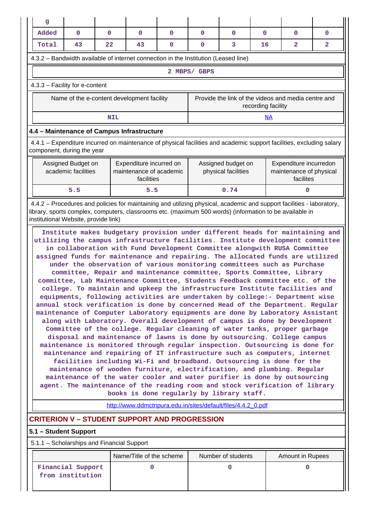| g                                                                                                                                                                                                                                                                                                                                                                                                                                                                                                                                                                                                                                                                                                                                                                                                                                                                                                                                                                                                                                                                                                                                                                                                                                                                                                                                                                                                                                                                                                                                                                                                                                                                            |                                       |            |                                                                                     |   |                                           |                    |                                                                |                                                                                                                      |              |
|------------------------------------------------------------------------------------------------------------------------------------------------------------------------------------------------------------------------------------------------------------------------------------------------------------------------------------------------------------------------------------------------------------------------------------------------------------------------------------------------------------------------------------------------------------------------------------------------------------------------------------------------------------------------------------------------------------------------------------------------------------------------------------------------------------------------------------------------------------------------------------------------------------------------------------------------------------------------------------------------------------------------------------------------------------------------------------------------------------------------------------------------------------------------------------------------------------------------------------------------------------------------------------------------------------------------------------------------------------------------------------------------------------------------------------------------------------------------------------------------------------------------------------------------------------------------------------------------------------------------------------------------------------------------------|---------------------------------------|------------|-------------------------------------------------------------------------------------|---|-------------------------------------------|--------------------|----------------------------------------------------------------|----------------------------------------------------------------------------------------------------------------------|--------------|
| Added                                                                                                                                                                                                                                                                                                                                                                                                                                                                                                                                                                                                                                                                                                                                                                                                                                                                                                                                                                                                                                                                                                                                                                                                                                                                                                                                                                                                                                                                                                                                                                                                                                                                        | 0                                     | 0          | 0                                                                                   | 0 | 0                                         | 0                  | 0                                                              | 0                                                                                                                    | 0            |
| Total                                                                                                                                                                                                                                                                                                                                                                                                                                                                                                                                                                                                                                                                                                                                                                                                                                                                                                                                                                                                                                                                                                                                                                                                                                                                                                                                                                                                                                                                                                                                                                                                                                                                        | 43                                    | 22         | 43                                                                                  | 0 | $\mathbf 0$                               | 3                  | 16                                                             | $\overline{a}$                                                                                                       | $\mathbf{2}$ |
|                                                                                                                                                                                                                                                                                                                                                                                                                                                                                                                                                                                                                                                                                                                                                                                                                                                                                                                                                                                                                                                                                                                                                                                                                                                                                                                                                                                                                                                                                                                                                                                                                                                                              |                                       |            | 4.3.2 – Bandwidth available of internet connection in the Institution (Leased line) |   |                                           |                    |                                                                |                                                                                                                      |              |
|                                                                                                                                                                                                                                                                                                                                                                                                                                                                                                                                                                                                                                                                                                                                                                                                                                                                                                                                                                                                                                                                                                                                                                                                                                                                                                                                                                                                                                                                                                                                                                                                                                                                              |                                       |            |                                                                                     |   | 2 MBPS/ GBPS                              |                    |                                                                |                                                                                                                      |              |
| 4.3.3 - Facility for e-content                                                                                                                                                                                                                                                                                                                                                                                                                                                                                                                                                                                                                                                                                                                                                                                                                                                                                                                                                                                                                                                                                                                                                                                                                                                                                                                                                                                                                                                                                                                                                                                                                                               |                                       |            |                                                                                     |   |                                           |                    |                                                                |                                                                                                                      |              |
|                                                                                                                                                                                                                                                                                                                                                                                                                                                                                                                                                                                                                                                                                                                                                                                                                                                                                                                                                                                                                                                                                                                                                                                                                                                                                                                                                                                                                                                                                                                                                                                                                                                                              |                                       |            | Name of the e-content development facility                                          |   |                                           |                    | recording facility                                             | Provide the link of the videos and media centre and                                                                  |              |
|                                                                                                                                                                                                                                                                                                                                                                                                                                                                                                                                                                                                                                                                                                                                                                                                                                                                                                                                                                                                                                                                                                                                                                                                                                                                                                                                                                                                                                                                                                                                                                                                                                                                              |                                       | <b>NIL</b> |                                                                                     |   |                                           |                    | NA                                                             |                                                                                                                      |              |
|                                                                                                                                                                                                                                                                                                                                                                                                                                                                                                                                                                                                                                                                                                                                                                                                                                                                                                                                                                                                                                                                                                                                                                                                                                                                                                                                                                                                                                                                                                                                                                                                                                                                              |                                       |            | 4.4 - Maintenance of Campus Infrastructure                                          |   |                                           |                    |                                                                |                                                                                                                      |              |
| component, during the year                                                                                                                                                                                                                                                                                                                                                                                                                                                                                                                                                                                                                                                                                                                                                                                                                                                                                                                                                                                                                                                                                                                                                                                                                                                                                                                                                                                                                                                                                                                                                                                                                                                   |                                       |            |                                                                                     |   |                                           |                    |                                                                | 4.4.1 – Expenditure incurred on maintenance of physical facilities and academic support facilities, excluding salary |              |
| Expenditure incurred on<br>Assigned Budget on<br>academic facilities<br>maintenance of academic<br>facilities                                                                                                                                                                                                                                                                                                                                                                                                                                                                                                                                                                                                                                                                                                                                                                                                                                                                                                                                                                                                                                                                                                                                                                                                                                                                                                                                                                                                                                                                                                                                                                |                                       |            |                                                                                     |   | Assigned budget on<br>physical facilities |                    | Expenditure incurredon<br>maintenance of physical<br>facilites |                                                                                                                      |              |
|                                                                                                                                                                                                                                                                                                                                                                                                                                                                                                                                                                                                                                                                                                                                                                                                                                                                                                                                                                                                                                                                                                                                                                                                                                                                                                                                                                                                                                                                                                                                                                                                                                                                              | 5.5                                   |            | 5.5                                                                                 |   |                                           | 0.74               |                                                                | 0                                                                                                                    |              |
| 4.4.2 – Procedures and policies for maintaining and utilizing physical, academic and support facilities - laboratory,<br>library, sports complex, computers, classrooms etc. (maximum 500 words) (information to be available in<br>institutional Website, provide link)                                                                                                                                                                                                                                                                                                                                                                                                                                                                                                                                                                                                                                                                                                                                                                                                                                                                                                                                                                                                                                                                                                                                                                                                                                                                                                                                                                                                     |                                       |            |                                                                                     |   |                                           |                    |                                                                |                                                                                                                      |              |
| Institute makes budgetary provision under different heads for maintaining and<br>utilizing the campus infrastructure facilities. Institute development committee<br>in collaboration with Fund Development Committee alongwith RUSA Committee<br>assigned funds for maintenance and repairing. The allocated funds are utilized<br>under the observation of various monitoring committees such as Purchase<br>committee, Repair and maintenance committee, Sports Committee, Library<br>committee, Lab Maintenance Committee, Students Feedback committee etc. of the<br>college. To maintain and upkeep the infrastructure Institute facilities and<br>equipments, following activities are undertaken by college:- Department wise<br>annual stock verification is done by concerned Head of the Department. Regular<br>maintenance of Computer Laboratory equipments are done by Laboratory Assistant<br>along with Laboratory. Overall development of campus is done by Development<br>Committee of the college. Regular cleaning of water tanks, proper garbage<br>disposal and maintenance of lawns is done by outsourcing. College campus<br>maintenance is monitored through regular inspection. Outsourcing is done for<br>maintenance and repairing of IT infrastructure such as computers, internet<br>facilities including Wi-Fi and broadband. Outsourcing is done for the<br>maintenance of wooden furniture, electrification, and plumbing. Regular<br>maintenance of the water cooler and water purifier is done by outsourcing<br>agent. The maintenance of the reading room and stock verification of library<br>books is done regularly by library staff. |                                       |            |                                                                                     |   |                                           |                    |                                                                |                                                                                                                      |              |
|                                                                                                                                                                                                                                                                                                                                                                                                                                                                                                                                                                                                                                                                                                                                                                                                                                                                                                                                                                                                                                                                                                                                                                                                                                                                                                                                                                                                                                                                                                                                                                                                                                                                              |                                       |            | <b>CRITERION V - STUDENT SUPPORT AND PROGRESSION</b>                                |   |                                           |                    |                                                                |                                                                                                                      |              |
| 5.1 - Student Support                                                                                                                                                                                                                                                                                                                                                                                                                                                                                                                                                                                                                                                                                                                                                                                                                                                                                                                                                                                                                                                                                                                                                                                                                                                                                                                                                                                                                                                                                                                                                                                                                                                        |                                       |            |                                                                                     |   |                                           |                    |                                                                |                                                                                                                      |              |
| 5.1.1 – Scholarships and Financial Support                                                                                                                                                                                                                                                                                                                                                                                                                                                                                                                                                                                                                                                                                                                                                                                                                                                                                                                                                                                                                                                                                                                                                                                                                                                                                                                                                                                                                                                                                                                                                                                                                                   |                                       |            |                                                                                     |   |                                           |                    |                                                                |                                                                                                                      |              |
|                                                                                                                                                                                                                                                                                                                                                                                                                                                                                                                                                                                                                                                                                                                                                                                                                                                                                                                                                                                                                                                                                                                                                                                                                                                                                                                                                                                                                                                                                                                                                                                                                                                                              |                                       |            | Name/Title of the scheme                                                            |   |                                           | Number of students |                                                                | <b>Amount in Rupees</b>                                                                                              |              |
|                                                                                                                                                                                                                                                                                                                                                                                                                                                                                                                                                                                                                                                                                                                                                                                                                                                                                                                                                                                                                                                                                                                                                                                                                                                                                                                                                                                                                                                                                                                                                                                                                                                                              | Financial Support<br>from institution |            | 0                                                                                   |   |                                           | $\Omega$           |                                                                | 0                                                                                                                    |              |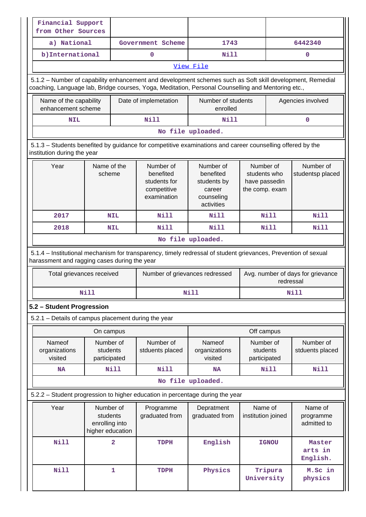| Financial Support<br>from Other Sources                                                                                                                                                                         |                                                                                                                                          |                |                                                                      |                                                                             |                                                              |                               |                                     |  |  |
|-----------------------------------------------------------------------------------------------------------------------------------------------------------------------------------------------------------------|------------------------------------------------------------------------------------------------------------------------------------------|----------------|----------------------------------------------------------------------|-----------------------------------------------------------------------------|--------------------------------------------------------------|-------------------------------|-------------------------------------|--|--|
| a) National                                                                                                                                                                                                     |                                                                                                                                          |                | Government Scheme                                                    | 1743                                                                        |                                                              |                               | 6442340                             |  |  |
| b) International                                                                                                                                                                                                |                                                                                                                                          |                | 0                                                                    | Nill                                                                        |                                                              |                               | 0                                   |  |  |
|                                                                                                                                                                                                                 |                                                                                                                                          |                |                                                                      | View File                                                                   |                                                              |                               |                                     |  |  |
| 5.1.2 - Number of capability enhancement and development schemes such as Soft skill development, Remedial<br>coaching, Language lab, Bridge courses, Yoga, Meditation, Personal Counselling and Mentoring etc., |                                                                                                                                          |                |                                                                      |                                                                             |                                                              |                               |                                     |  |  |
|                                                                                                                                                                                                                 | Name of the capability<br>Date of implemetation<br>enhancement scheme                                                                    |                |                                                                      | Number of students<br>enrolled                                              |                                                              | Agencies involved             |                                     |  |  |
| <b>NIL</b>                                                                                                                                                                                                      |                                                                                                                                          |                | <b>Nill</b>                                                          | Nill                                                                        |                                                              |                               | $\mathbf 0$                         |  |  |
|                                                                                                                                                                                                                 |                                                                                                                                          |                |                                                                      | No file uploaded.                                                           |                                                              |                               |                                     |  |  |
|                                                                                                                                                                                                                 | 5.1.3 - Students benefited by guidance for competitive examinations and career counselling offered by the<br>institution during the year |                |                                                                      |                                                                             |                                                              |                               |                                     |  |  |
| Year                                                                                                                                                                                                            | Name of the<br>scheme                                                                                                                    |                | Number of<br>benefited<br>students for<br>competitive<br>examination | Number of<br>benefited<br>students by<br>career<br>counseling<br>activities | Number of<br>students who<br>have passedin<br>the comp. exam | Number of<br>studentsp placed |                                     |  |  |
| 2017                                                                                                                                                                                                            | <b>NIL</b>                                                                                                                               |                | <b>Nill</b>                                                          | Nill                                                                        | <b>Nill</b>                                                  |                               | <b>Nill</b>                         |  |  |
| 2018                                                                                                                                                                                                            | <b>NIL</b>                                                                                                                               |                | <b>Nill</b>                                                          | <b>Nill</b>                                                                 |                                                              | Nill                          | <b>Nill</b>                         |  |  |
|                                                                                                                                                                                                                 |                                                                                                                                          |                |                                                                      | No file uploaded.                                                           |                                                              |                               |                                     |  |  |
| 5.1.4 - Institutional mechanism for transparency, timely redressal of student grievances, Prevention of sexual<br>harassment and ragging cases during the year                                                  |                                                                                                                                          |                |                                                                      |                                                                             |                                                              |                               |                                     |  |  |
| Total grievances received                                                                                                                                                                                       |                                                                                                                                          |                | Number of grievances redressed                                       |                                                                             | Avg. number of days for grievance<br>redressal               |                               |                                     |  |  |
|                                                                                                                                                                                                                 | Nill                                                                                                                                     |                |                                                                      | Nill                                                                        |                                                              |                               | Nill                                |  |  |
| 5.2 - Student Progression                                                                                                                                                                                       |                                                                                                                                          |                |                                                                      |                                                                             |                                                              |                               |                                     |  |  |
| 5.2.1 - Details of campus placement during the year                                                                                                                                                             |                                                                                                                                          |                |                                                                      |                                                                             |                                                              |                               |                                     |  |  |
|                                                                                                                                                                                                                 | On campus                                                                                                                                |                |                                                                      |                                                                             |                                                              | Off campus                    |                                     |  |  |
| Nameof<br>organizations<br>visited                                                                                                                                                                              | Number of<br>students<br>participated                                                                                                    |                | Number of<br>stduents placed                                         | Nameof<br>organizations<br>visited                                          | Number of<br>students<br>participated                        |                               | Number of<br>stduents placed        |  |  |
| <b>NA</b>                                                                                                                                                                                                       |                                                                                                                                          | Nill           | <b>Nill</b>                                                          | <b>NA</b>                                                                   |                                                              | Nill                          | <b>Nill</b>                         |  |  |
|                                                                                                                                                                                                                 |                                                                                                                                          |                |                                                                      | No file uploaded.                                                           |                                                              |                               |                                     |  |  |
| 5.2.2 - Student progression to higher education in percentage during the year                                                                                                                                   |                                                                                                                                          |                |                                                                      |                                                                             |                                                              |                               |                                     |  |  |
| Year                                                                                                                                                                                                            | Number of<br>students<br>enrolling into<br>higher education                                                                              |                | Programme<br>graduated from                                          | Depratment<br>graduated from                                                | Name of<br>institution joined                                |                               | Name of<br>programme<br>admitted to |  |  |
| <b>Nill</b>                                                                                                                                                                                                     |                                                                                                                                          | $\overline{a}$ | <b>TDPH</b>                                                          | English                                                                     |                                                              | <b>IGNOU</b>                  | Master<br>arts in<br>English.       |  |  |
| Nill                                                                                                                                                                                                            |                                                                                                                                          | $\mathbf 1$    | <b>TDPH</b>                                                          | Physics                                                                     | University                                                   | Tripura                       | M.Sc in<br>physics                  |  |  |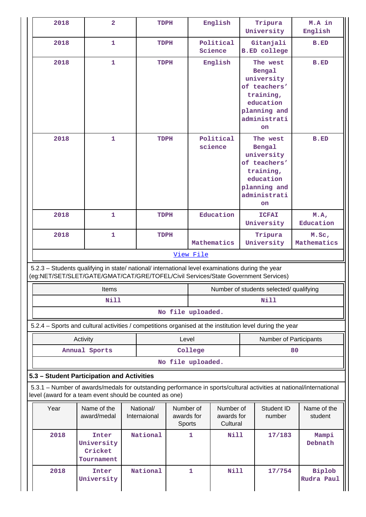| 2018                                                                                                                                                                                   | $\overline{2}$                               |                           | TDPH                              |                                 | English                                 |                                                                                                      | Tripura<br>University      | M.A in<br>English                                                                                                   |                      |                                                                                                                  |  |             |
|----------------------------------------------------------------------------------------------------------------------------------------------------------------------------------------|----------------------------------------------|---------------------------|-----------------------------------|---------------------------------|-----------------------------------------|------------------------------------------------------------------------------------------------------|----------------------------|---------------------------------------------------------------------------------------------------------------------|----------------------|------------------------------------------------------------------------------------------------------------------|--|-------------|
| 2018                                                                                                                                                                                   | 1                                            |                           | TDPH                              |                                 | Political<br>Science                    | <b>B.ED</b> college                                                                                  | Gitanjali                  | <b>B.ED</b>                                                                                                         |                      |                                                                                                                  |  |             |
| 2018                                                                                                                                                                                   | $\mathbf{1}$                                 |                           | TDPH                              |                                 | English                                 | Bengal<br>university<br>of teachers'<br>training,<br>education<br>planning and<br>administrati<br>on | The west                   | <b>B.ED</b>                                                                                                         |                      |                                                                                                                  |  |             |
| 2018                                                                                                                                                                                   | 1                                            |                           | TDPH                              |                                 |                                         |                                                                                                      |                            |                                                                                                                     | Political<br>science | The west<br>Bengal<br>university<br>of teachers'<br>training,<br>education<br>planning and<br>administrati<br>on |  | <b>B.ED</b> |
| 2018                                                                                                                                                                                   | 1                                            |                           | <b>TDPH</b>                       |                                 | Education                               |                                                                                                      | <b>ICFAI</b><br>University | M.A,<br>Education                                                                                                   |                      |                                                                                                                  |  |             |
| 2018<br>$\mathbf{1}$                                                                                                                                                                   |                                              |                           | TDPH                              |                                 | Mathematics                             | University                                                                                           | Tripura                    | M.Sc,<br>Mathematics                                                                                                |                      |                                                                                                                  |  |             |
| View File                                                                                                                                                                              |                                              |                           |                                   |                                 |                                         |                                                                                                      |                            |                                                                                                                     |                      |                                                                                                                  |  |             |
| 5.2.3 - Students qualifying in state/ national/ international level examinations during the year<br>(eg:NET/SET/SLET/GATE/GMAT/CAT/GRE/TOFEL/Civil Services/State Government Services) |                                              |                           |                                   |                                 |                                         |                                                                                                      |                            |                                                                                                                     |                      |                                                                                                                  |  |             |
|                                                                                                                                                                                        | Items                                        |                           |                                   |                                 | Number of students selected/ qualifying |                                                                                                      |                            |                                                                                                                     |                      |                                                                                                                  |  |             |
|                                                                                                                                                                                        | <b>Nill</b>                                  |                           |                                   | Nill                            |                                         |                                                                                                      |                            |                                                                                                                     |                      |                                                                                                                  |  |             |
|                                                                                                                                                                                        |                                              |                           | No file uploaded.                 |                                 |                                         |                                                                                                      |                            |                                                                                                                     |                      |                                                                                                                  |  |             |
| 5.2.4 - Sports and cultural activities / competitions organised at the institution level during the year                                                                               |                                              |                           |                                   |                                 |                                         |                                                                                                      |                            |                                                                                                                     |                      |                                                                                                                  |  |             |
|                                                                                                                                                                                        | Activity                                     |                           |                                   | Level<br>Number of Participants |                                         |                                                                                                      |                            |                                                                                                                     |                      |                                                                                                                  |  |             |
|                                                                                                                                                                                        | Annual Sports                                |                           |                                   | College                         |                                         |                                                                                                      |                            | 80                                                                                                                  |                      |                                                                                                                  |  |             |
|                                                                                                                                                                                        |                                              |                           | No file uploaded.                 |                                 |                                         |                                                                                                      |                            |                                                                                                                     |                      |                                                                                                                  |  |             |
| 5.3 - Student Participation and Activities                                                                                                                                             |                                              |                           |                                   |                                 |                                         |                                                                                                      |                            |                                                                                                                     |                      |                                                                                                                  |  |             |
| level (award for a team event should be counted as one)                                                                                                                                |                                              |                           |                                   |                                 |                                         |                                                                                                      |                            | 5.3.1 – Number of awards/medals for outstanding performance in sports/cultural activities at national/international |                      |                                                                                                                  |  |             |
| Year                                                                                                                                                                                   | Name of the<br>award/medal                   | National/<br>Internaional | Number of<br>awards for<br>Sports |                                 | Number of<br>awards for<br>Cultural     |                                                                                                      | Student ID<br>number       | Name of the<br>student                                                                                              |                      |                                                                                                                  |  |             |
| 2018                                                                                                                                                                                   | Inter<br>University<br>Cricket<br>Tournament | National                  |                                   | 1                               | Nill                                    |                                                                                                      | 17/183                     | Mampi<br>Debnath                                                                                                    |                      |                                                                                                                  |  |             |
| 2018                                                                                                                                                                                   | Inter                                        | National                  |                                   | 1                               | <b>Nill</b>                             |                                                                                                      | 17/754                     | <b>Biplob</b>                                                                                                       |                      |                                                                                                                  |  |             |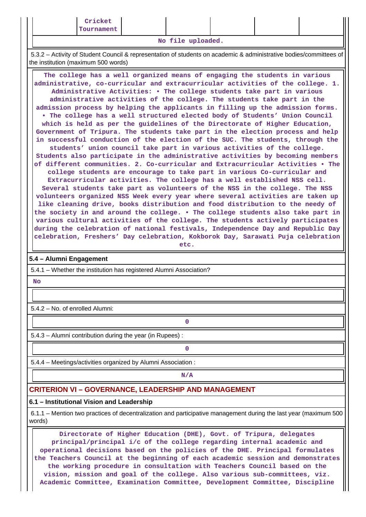**No file uploaded.**

 5.3.2 – Activity of Student Council & representation of students on academic & administrative bodies/committees of the institution (maximum 500 words)

 **The college has a well organized means of engaging the students in various administrative, co-curricular and extracurricular activities of the college. 1. Administrative Activities: • The college students take part in various administrative activities of the college. The students take part in the admission process by helping the applicants in filling up the admission forms. • The college has a well structured elected body of Students' Union Council which is held as per the guidelines of the Directorate of Higher Education, Government of Tripura. The students take part in the election process and help in successful conduction of the election of the SUC. The students, through the students' union council take part in various activities of the college. Students also participate in the administrative activities by becoming members of different communities. 2. Co-curricular and Extracurricular Activities • The college students are encourage to take part in various Co-curricular and Extracurricular activities. The college has a well established NSS cell. Several students take part as volunteers of the NSS in the college. The NSS volunteers organized NSS Week every year where several activities are taken up like cleaning drive, books distribution and food distribution to the needy of the society in and around the college. • The college students also take part in various cultural activities of the college. The students actively participates during the celebration of national festivals, Independence Day and Republic Day celebration, Freshers' Day celebration, Kokborok Day, Sarawati Puja celebration**

#### **etc.**

#### **5.4 – Alumni Engagement**

5.4.1 – Whether the institution has registered Alumni Association?

 **No**

5.4.2 – No. of enrolled Alumni:

**0**

5.4.3 – Alumni contribution during the year (in Rupees) :

**0**

5.4.4 – Meetings/activities organized by Alumni Association :

## **N/A**

## **CRITERION VI – GOVERNANCE, LEADERSHIP AND MANAGEMENT**

### **6.1 – Institutional Vision and Leadership**

 6.1.1 – Mention two practices of decentralization and participative management during the last year (maximum 500 words)

 **Directorate of Higher Education (DHE), Govt. of Tripura, delegates principal/principal i/c of the college regarding internal academic and operational decisions based on the policies of the DHE. Principal formulates the Teachers Council at the beginning of each academic session and demonstrates the working procedure in consultation with Teachers Council based on the vision, mission and goal of the college. Also various sub-committees, viz. Academic Committee, Examination Committee, Development Committee, Discipline**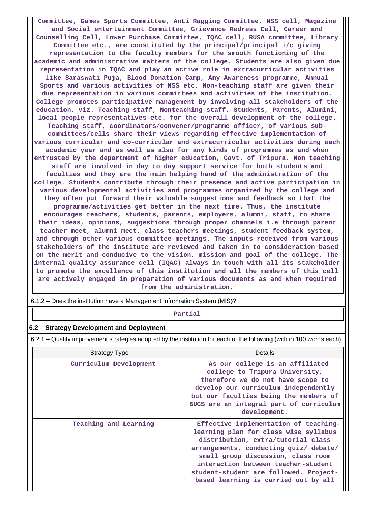**Committee, Games Sports Committee, Anti Ragging Committee, NSS cell, Magazine and Social entertainment Committee, Grievance Redress Cell, Career and Counselling Cell, Lower Purchase Committee, IQAC cell, RUSA committee, Library Committee etc., are constituted by the principal/principal i/c giving representation to the faculty members for the smooth functioning of the academic and administrative matters of the college. Students are also given due representation in IQAC and play an active role in extracurricular activities like Saraswati Puja, Blood Donation Camp, Any Awareness programme, Annual Sports and various activities of NSS etc. Non-teaching staff are given their due representation in various committees and activities of the institution. College promotes participative management by involving all stakeholders of the education, viz. Teaching staff, Nonteaching staff, Students, Parents, Alumini, local people representatives etc. for the overall development of the college. Teaching staff, coordinators/convener/programme officer, of various subcommittees/cells share their views regarding effective implementation of various curricular and co-curricular and extracurricular activities during each academic year and as well as also for any kinds of programmes as and when entrusted by the department of higher education, Govt. of Tripura. Non teaching staff are involved in day to day support service for both students and faculties and they are the main helping hand of the administration of the college. Students contribute through their presence and active participation in various developmental activities and programmes organized by the college and they often put forward their valuable suggestions and feedback so that the programme/activities get better in the next time. Thus, the institute encourages teachers, students, parents, employers, alumni, staff, to share their ideas, opinions, suggestions through proper channels i.e through parent teacher meet, alumni meet, class teachers meetings, student feedback system, and through other various committee meetings. The inputs received from various stakeholders of the institute are reviewed and taken in to consideration based on the merit and conducive to the vision, mission and goal of the college. The internal quality assurance cell (IQAC) always in touch with all its stakeholder to promote the excellence of this institution and all the members of this cell are actively engaged in preparation of various documents as and when required from the administration.**

6.1.2 – Does the institution have a Management Information System (MIS)?

#### **Partial**

#### **6.2 – Strategy Development and Deployment**

6.2.1 – Quality improvement strategies adopted by the institution for each of the following (with in 100 words each):

| <b>Strategy Type</b>   | Details                                                                                                                                                                                                                                                                                                                       |
|------------------------|-------------------------------------------------------------------------------------------------------------------------------------------------------------------------------------------------------------------------------------------------------------------------------------------------------------------------------|
| Curriculum Development | As our college is an affiliated<br>college to Tripura University,<br>therefore we do not have scope to<br>develop our curriculum independently<br>but our faculties being the members of<br>BUGS are an integral part of curriculum<br>development.                                                                           |
| Teaching and Learning  | Effective implementation of teaching-<br>learning plan for class wise syllabus<br>distribution, extra/tutorial class<br>arrangements, conducting quiz/ debate/<br>small group discussion, class room<br>interaction between teacher-student<br>student-student are followed. Project-<br>based learning is carried out by all |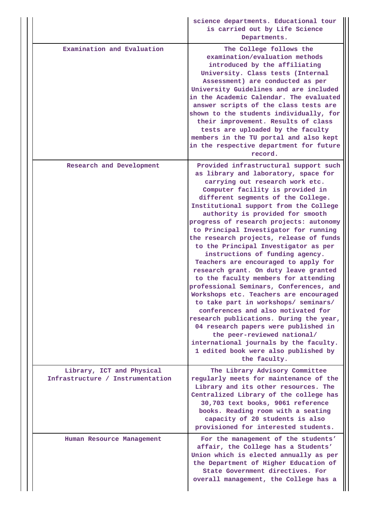|                                                               | science departments. Educational tour<br>is carried out by Life Science<br>Departments.                                                                                                                                                                                                                                                                                                                                                                                                                                                                                                                                                                                                                                                                                                                                                                                                                                                                                            |  |  |  |  |  |
|---------------------------------------------------------------|------------------------------------------------------------------------------------------------------------------------------------------------------------------------------------------------------------------------------------------------------------------------------------------------------------------------------------------------------------------------------------------------------------------------------------------------------------------------------------------------------------------------------------------------------------------------------------------------------------------------------------------------------------------------------------------------------------------------------------------------------------------------------------------------------------------------------------------------------------------------------------------------------------------------------------------------------------------------------------|--|--|--|--|--|
| Examination and Evaluation                                    | The College follows the<br>examination/evaluation methods<br>introduced by the affiliating<br>University. Class tests (Internal<br>Assessment) are conducted as per<br>University Guidelines and are included<br>in the Academic Calendar. The evaluated<br>answer scripts of the class tests are<br>shown to the students individually, for<br>their improvement. Results of class<br>tests are uploaded by the faculty<br>members in the TU portal and also kept<br>in the respective department for future<br>record.                                                                                                                                                                                                                                                                                                                                                                                                                                                           |  |  |  |  |  |
| Research and Development                                      | Provided infrastructural support such<br>as library and laboratory, space for<br>carrying out research work etc.<br>Computer facility is provided in<br>different segments of the College.<br>Institutional support from the College<br>authority is provided for smooth<br>progress of research projects: autonomy<br>to Principal Investigator for running<br>the research projects, release of funds<br>to the Principal Investigator as per<br>instructions of funding agency.<br>Teachers are encouraged to apply for<br>research grant. On duty leave granted<br>to the faculty members for attending<br>professional Seminars, Conferences, and<br>Workshops etc. Teachers are encouraged<br>to take part in workshops/ seminars/<br>conferences and also motivated for<br>research publications. During the year,<br>04 research papers were published in<br>the peer-reviewed national/<br>international journals by the faculty.<br>1 edited book were also published by |  |  |  |  |  |
| Library, ICT and Physical<br>Infrastructure / Instrumentation | The Library Advisory Committee<br>regularly meets for maintenance of the<br>Library and its other resources. The<br>Centralized Library of the college has<br>30,703 text books, 9061 reference<br>books. Reading room with a seating<br>capacity of 20 students is also<br>provisioned for interested students.                                                                                                                                                                                                                                                                                                                                                                                                                                                                                                                                                                                                                                                                   |  |  |  |  |  |
| Human Resource Management                                     | For the management of the students'<br>affair, the College has a Students'<br>Union which is elected annually as per<br>the Department of Higher Education of<br>State Government directives. For<br>overall management, the College has a                                                                                                                                                                                                                                                                                                                                                                                                                                                                                                                                                                                                                                                                                                                                         |  |  |  |  |  |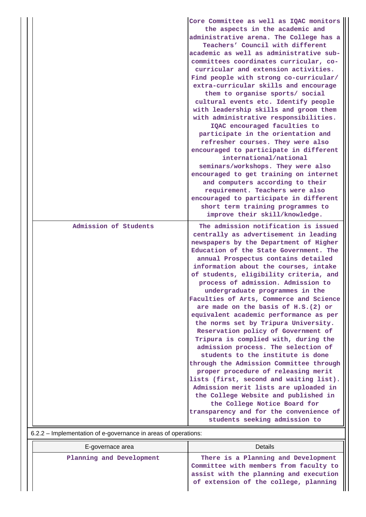|                                                                                         | Core Committee as well as IQAC monitors<br>the aspects in the academic and<br>administrative arena. The College has a<br>Teachers' Council with different<br>academic as well as administrative sub-<br>committees coordinates curricular, co-<br>curricular and extension activities.<br>Find people with strong co-curricular/<br>extra-curricular skills and encourage<br>them to organise sports/ social<br>cultural events etc. Identify people<br>with leadership skills and groom them<br>with administrative responsibilities.<br>IQAC encouraged faculties to<br>participate in the orientation and<br>refresher courses. They were also<br>encouraged to participate in different<br>international/national<br>seminars/workshops. They were also<br>encouraged to get training on internet<br>and computers according to their<br>requirement. Teachers were also<br>encouraged to participate in different                                                                                                        |
|-----------------------------------------------------------------------------------------|-------------------------------------------------------------------------------------------------------------------------------------------------------------------------------------------------------------------------------------------------------------------------------------------------------------------------------------------------------------------------------------------------------------------------------------------------------------------------------------------------------------------------------------------------------------------------------------------------------------------------------------------------------------------------------------------------------------------------------------------------------------------------------------------------------------------------------------------------------------------------------------------------------------------------------------------------------------------------------------------------------------------------------|
|                                                                                         | short term training programmes to<br>improve their skill/knowledge.                                                                                                                                                                                                                                                                                                                                                                                                                                                                                                                                                                                                                                                                                                                                                                                                                                                                                                                                                           |
| Admission of Students<br>6.2.2 – Implementation of e-governance in areas of operations: | The admission notification is issued<br>centrally as advertisement in leading<br>newspapers by the Department of Higher<br>Education of the State Government. The<br>annual Prospectus contains detailed<br>information about the courses, intake<br>of students, eligibility criteria, and<br>process of admission. Admission to<br>undergraduate programmes in the<br>Faculties of Arts, Commerce and Science<br>are made on the basis of H.S.(2) or<br>equivalent academic performance as per<br>the norms set by Tripura University.<br>Reservation policy of Government of<br>Tripura is complied with, during the<br>admission process. The selection of<br>students to the institute is done<br>through the Admission Committee through<br>proper procedure of releasing merit<br>lists (first, second and waiting list).<br>Admission merit lists are uploaded in<br>the College Website and published in<br>the College Notice Board for<br>transparency and for the convenience of<br>students seeking admission to |

| E-governace area         | Details                                                                                                                                                          |
|--------------------------|------------------------------------------------------------------------------------------------------------------------------------------------------------------|
| Planning and Development | There is a Planning and Development<br>Committee with members from faculty to<br>assist with the planning and execution<br>of extension of the college, planning |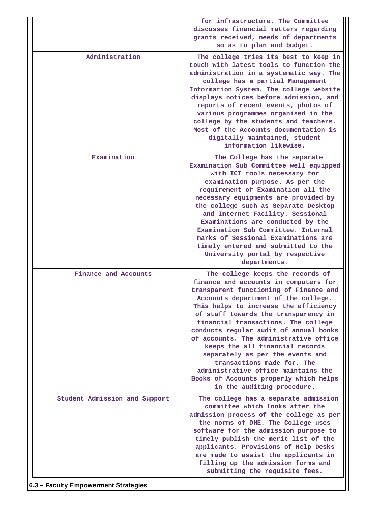|                                      | for infrastructure. The Committee<br>discusses financial matters regarding<br>grants received, needs of departments<br>so as to plan and budget.                                                                                                                                                                                                                                                                                                                                                                                                                                           |  |  |  |  |  |
|--------------------------------------|--------------------------------------------------------------------------------------------------------------------------------------------------------------------------------------------------------------------------------------------------------------------------------------------------------------------------------------------------------------------------------------------------------------------------------------------------------------------------------------------------------------------------------------------------------------------------------------------|--|--|--|--|--|
| Administration                       | The college tries its best to keep in<br>touch with latest tools to function the<br>administration in a systematic way. The<br>college has a partial Management<br>Information System. The college website<br>displays notices before admission, and<br>reports of recent events, photos of<br>various programmes organised in the<br>college by the students and teachers.<br>Most of the Accounts documentation is<br>digitally maintained, student<br>information likewise.                                                                                                             |  |  |  |  |  |
| Examination                          | The College has the separate<br>Examination Sub Committee well equipped<br>with ICT tools necessary for<br>examination purpose. As per the<br>requirement of Examination all the<br>necessary equipments are provided by<br>the college such as Separate Desktop<br>and Internet Facility. Sessional<br>Examinations are conducted by the<br>Examination Sub Committee. Internal<br>marks of Sessional Examinations are<br>timely entered and submitted to the<br>University portal by respective<br>departments.                                                                          |  |  |  |  |  |
| Finance and Accounts                 | The college keeps the records of<br>finance and accounts in computers for<br>transparent functioning of Finance and<br>Accounts department of the college.<br>This helps to increase the efficiency<br>of staff towards the transparency in<br>financial transactions. The college<br>conducts regular audit of annual books<br>of accounts. The administrative office<br>keeps the all financial records<br>separately as per the events and<br>transactions made for. The<br>administrative office maintains the<br>Books of Accounts properly which helps<br>in the auditing procedure. |  |  |  |  |  |
| Student Admission and Support        | The college has a separate admission<br>committee which looks after the<br>admission process of the college as per<br>the norms of DHE. The College uses<br>software for the admission purpose to<br>timely publish the merit list of the<br>applicants. Provisions of Help Desks<br>are made to assist the applicants in<br>filling up the admission forms and<br>submitting the requisite fees.                                                                                                                                                                                          |  |  |  |  |  |
| 6.3 - Faculty Empowerment Strategies |                                                                                                                                                                                                                                                                                                                                                                                                                                                                                                                                                                                            |  |  |  |  |  |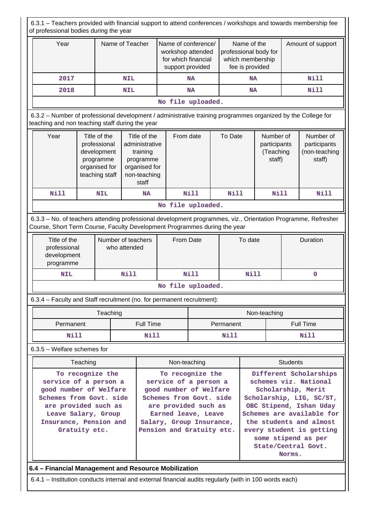| 6.3.1 - Teachers provided with financial support to attend conferences / workshops and towards membership fee<br>of professional bodies during the year                                    |                                                                                                |                                                                                             |             |                                                                                                                                                                                                        |                                                                                     |             |                                                                             |                                                                                                                                                                                                                                                                          |                                                  |                   |                                                      |
|--------------------------------------------------------------------------------------------------------------------------------------------------------------------------------------------|------------------------------------------------------------------------------------------------|---------------------------------------------------------------------------------------------|-------------|--------------------------------------------------------------------------------------------------------------------------------------------------------------------------------------------------------|-------------------------------------------------------------------------------------|-------------|-----------------------------------------------------------------------------|--------------------------------------------------------------------------------------------------------------------------------------------------------------------------------------------------------------------------------------------------------------------------|--------------------------------------------------|-------------------|------------------------------------------------------|
| Year                                                                                                                                                                                       |                                                                                                | Name of Teacher                                                                             |             |                                                                                                                                                                                                        | Name of conference/<br>workshop attended<br>for which financial<br>support provided |             | Name of the<br>professional body for<br>which membership<br>fee is provided |                                                                                                                                                                                                                                                                          |                                                  | Amount of support |                                                      |
| 2017                                                                                                                                                                                       |                                                                                                |                                                                                             | <b>NIL</b>  | <b>NA</b>                                                                                                                                                                                              |                                                                                     |             |                                                                             | <b>NA</b>                                                                                                                                                                                                                                                                |                                                  | <b>Nill</b>       |                                                      |
| 2018                                                                                                                                                                                       |                                                                                                |                                                                                             | <b>NIL</b>  |                                                                                                                                                                                                        |                                                                                     | <b>NA</b>   |                                                                             | <b>NA</b>                                                                                                                                                                                                                                                                |                                                  | <b>Nill</b>       |                                                      |
|                                                                                                                                                                                            |                                                                                                |                                                                                             |             | No file uploaded.                                                                                                                                                                                      |                                                                                     |             |                                                                             |                                                                                                                                                                                                                                                                          |                                                  |                   |                                                      |
| 6.3.2 - Number of professional development / administrative training programmes organized by the College for<br>teaching and non teaching staff during the year                            |                                                                                                |                                                                                             |             |                                                                                                                                                                                                        |                                                                                     |             |                                                                             |                                                                                                                                                                                                                                                                          |                                                  |                   |                                                      |
| Year                                                                                                                                                                                       |                                                                                                | Title of the<br>professional<br>development<br>programme<br>organised for<br>teaching staff |             | Title of the<br>From date<br>administrative<br>training<br>programme<br>organised for<br>non-teaching<br>staff                                                                                         |                                                                                     |             | To Date                                                                     |                                                                                                                                                                                                                                                                          | Number of<br>participants<br>(Teaching<br>staff) |                   | Number of<br>participants<br>(non-teaching<br>staff) |
| <b>Nill</b>                                                                                                                                                                                |                                                                                                | <b>NIL</b>                                                                                  |             | <b>NA</b>                                                                                                                                                                                              |                                                                                     | <b>Nill</b> | <b>Nill</b>                                                                 |                                                                                                                                                                                                                                                                          | Nill                                             |                   | <b>Nill</b>                                          |
|                                                                                                                                                                                            |                                                                                                |                                                                                             |             |                                                                                                                                                                                                        | No file uploaded.                                                                   |             |                                                                             |                                                                                                                                                                                                                                                                          |                                                  |                   |                                                      |
| 6.3.3 - No. of teachers attending professional development programmes, viz., Orientation Programme, Refresher<br>Course, Short Term Course, Faculty Development Programmes during the year |                                                                                                |                                                                                             |             |                                                                                                                                                                                                        |                                                                                     |             |                                                                             |                                                                                                                                                                                                                                                                          |                                                  |                   |                                                      |
|                                                                                                                                                                                            | Title of the<br>Number of teachers<br>professional<br>who attended<br>development<br>programme |                                                                                             |             | From Date                                                                                                                                                                                              |                                                                                     |             |                                                                             | To date                                                                                                                                                                                                                                                                  |                                                  | Duration          |                                                      |
| <b>NIL</b>                                                                                                                                                                                 |                                                                                                |                                                                                             | <b>Nill</b> | Nill                                                                                                                                                                                                   |                                                                                     |             | <b>Nill</b>                                                                 |                                                                                                                                                                                                                                                                          |                                                  |                   | 0                                                    |
|                                                                                                                                                                                            |                                                                                                |                                                                                             |             |                                                                                                                                                                                                        | No file uploaded.                                                                   |             |                                                                             |                                                                                                                                                                                                                                                                          |                                                  |                   |                                                      |
| 6.3.4 - Faculty and Staff recruitment (no. for permanent recruitment):                                                                                                                     |                                                                                                |                                                                                             |             |                                                                                                                                                                                                        |                                                                                     |             |                                                                             |                                                                                                                                                                                                                                                                          |                                                  |                   |                                                      |
|                                                                                                                                                                                            | Teaching                                                                                       |                                                                                             |             |                                                                                                                                                                                                        |                                                                                     |             |                                                                             | Non-teaching                                                                                                                                                                                                                                                             |                                                  |                   |                                                      |
|                                                                                                                                                                                            | Permanent                                                                                      |                                                                                             |             | <b>Full Time</b>                                                                                                                                                                                       |                                                                                     |             | Permanent                                                                   |                                                                                                                                                                                                                                                                          | <b>Full Time</b>                                 |                   |                                                      |
|                                                                                                                                                                                            | Nill                                                                                           |                                                                                             |             | <b>Nill</b>                                                                                                                                                                                            | Nill                                                                                |             |                                                                             |                                                                                                                                                                                                                                                                          | <b>Nill</b>                                      |                   |                                                      |
| 6.3.5 - Welfare schemes for                                                                                                                                                                |                                                                                                |                                                                                             |             |                                                                                                                                                                                                        |                                                                                     |             |                                                                             |                                                                                                                                                                                                                                                                          |                                                  |                   |                                                      |
|                                                                                                                                                                                            | Teaching                                                                                       |                                                                                             |             | Non-teaching                                                                                                                                                                                           |                                                                                     |             |                                                                             | <b>Students</b>                                                                                                                                                                                                                                                          |                                                  |                   |                                                      |
| To recognize the<br>service of a person a<br>good number of Welfare<br>Schemes from Govt. side<br>are provided such as<br>Leave Salary, Group<br>Insurance, Pension and<br>Gratuity etc.   |                                                                                                |                                                                                             |             | To recognize the<br>service of a person a<br>good number of Welfare<br>Schemes from Govt. side<br>are provided such as<br>Earned leave, Leave<br>Salary, Group Insurance,<br>Pension and Gratuity etc. |                                                                                     |             |                                                                             | Different Scholarships<br>schemes viz. National<br>Scholarship, Merit<br>Scholarship, LIG, SC/ST,<br>OBC Stipend, Ishan Uday<br>Schemes are available for<br>the students and almost<br>every student is getting<br>some stipend as per<br>State/Central Govt.<br>Norms. |                                                  |                   |                                                      |
| 6.4 - Financial Management and Resource Mobilization                                                                                                                                       |                                                                                                |                                                                                             |             |                                                                                                                                                                                                        |                                                                                     |             |                                                                             |                                                                                                                                                                                                                                                                          |                                                  |                   |                                                      |

6.4.1 – Institution conducts internal and external financial audits regularly (with in 100 words each)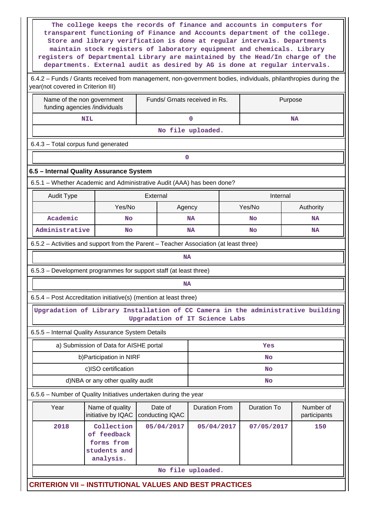| The college keeps the records of finance and accounts in computers for<br>transparent functioning of Finance and Accounts department of the college.<br>Store and library verification is done at regular intervals. Departments<br>maintain stock registers of laboratory equipment and chemicals. Library<br>registers of Departmental Library are maintained by the Head/In charge of the<br>departments. External audit as desired by AG is done at regular intervals. |                                                                      |                            |                               |           |                    |                           |  |  |  |  |
|----------------------------------------------------------------------------------------------------------------------------------------------------------------------------------------------------------------------------------------------------------------------------------------------------------------------------------------------------------------------------------------------------------------------------------------------------------------------------|----------------------------------------------------------------------|----------------------------|-------------------------------|-----------|--------------------|---------------------------|--|--|--|--|
| 6.4.2 – Funds / Grants received from management, non-government bodies, individuals, philanthropies during the<br>year(not covered in Criterion III)                                                                                                                                                                                                                                                                                                                       |                                                                      |                            |                               |           |                    |                           |  |  |  |  |
| Name of the non government<br>funding agencies /individuals                                                                                                                                                                                                                                                                                                                                                                                                                |                                                                      |                            | Funds/ Grnats received in Rs. |           |                    | Purpose                   |  |  |  |  |
|                                                                                                                                                                                                                                                                                                                                                                                                                                                                            | <b>NIL</b>                                                           |                            | $\mathbf 0$                   |           | <b>NA</b>          |                           |  |  |  |  |
| No file uploaded.                                                                                                                                                                                                                                                                                                                                                                                                                                                          |                                                                      |                            |                               |           |                    |                           |  |  |  |  |
| 6.4.3 - Total corpus fund generated                                                                                                                                                                                                                                                                                                                                                                                                                                        |                                                                      |                            |                               |           |                    |                           |  |  |  |  |
| 0                                                                                                                                                                                                                                                                                                                                                                                                                                                                          |                                                                      |                            |                               |           |                    |                           |  |  |  |  |
| 6.5 - Internal Quality Assurance System                                                                                                                                                                                                                                                                                                                                                                                                                                    |                                                                      |                            |                               |           |                    |                           |  |  |  |  |
| 6.5.1 – Whether Academic and Administrative Audit (AAA) has been done?                                                                                                                                                                                                                                                                                                                                                                                                     |                                                                      |                            |                               |           |                    |                           |  |  |  |  |
| <b>Audit Type</b>                                                                                                                                                                                                                                                                                                                                                                                                                                                          |                                                                      | External                   |                               |           | Internal           |                           |  |  |  |  |
|                                                                                                                                                                                                                                                                                                                                                                                                                                                                            | Yes/No                                                               |                            | Agency                        |           | Yes/No             | Authority                 |  |  |  |  |
| Academic                                                                                                                                                                                                                                                                                                                                                                                                                                                                   | No                                                                   |                            | <b>NA</b>                     |           | <b>No</b>          | <b>NA</b>                 |  |  |  |  |
|                                                                                                                                                                                                                                                                                                                                                                                                                                                                            | Administrative<br>No                                                 |                            |                               |           | <b>No</b>          | <b>NA</b>                 |  |  |  |  |
| 6.5.2 – Activities and support from the Parent – Teacher Association (at least three)                                                                                                                                                                                                                                                                                                                                                                                      |                                                                      |                            |                               |           |                    |                           |  |  |  |  |
| <b>NA</b>                                                                                                                                                                                                                                                                                                                                                                                                                                                                  |                                                                      |                            |                               |           |                    |                           |  |  |  |  |
| 6.5.3 – Development programmes for support staff (at least three)                                                                                                                                                                                                                                                                                                                                                                                                          |                                                                      |                            |                               |           |                    |                           |  |  |  |  |
| <b>NA</b>                                                                                                                                                                                                                                                                                                                                                                                                                                                                  |                                                                      |                            |                               |           |                    |                           |  |  |  |  |
| 6.5.4 - Post Accreditation initiative(s) (mention at least three)                                                                                                                                                                                                                                                                                                                                                                                                          |                                                                      |                            |                               |           |                    |                           |  |  |  |  |
| Upgradation of Library Installation of CC Camera in the administrative building<br>Upgradation of IT Science Labs                                                                                                                                                                                                                                                                                                                                                          |                                                                      |                            |                               |           |                    |                           |  |  |  |  |
| 6.5.5 - Internal Quality Assurance System Details                                                                                                                                                                                                                                                                                                                                                                                                                          |                                                                      |                            |                               |           |                    |                           |  |  |  |  |
|                                                                                                                                                                                                                                                                                                                                                                                                                                                                            | a) Submission of Data for AISHE portal                               |                            |                               | Yes       |                    |                           |  |  |  |  |
|                                                                                                                                                                                                                                                                                                                                                                                                                                                                            | b) Participation in NIRF                                             |                            |                               | No        |                    |                           |  |  |  |  |
|                                                                                                                                                                                                                                                                                                                                                                                                                                                                            | c)ISO certification                                                  |                            |                               | No        |                    |                           |  |  |  |  |
|                                                                                                                                                                                                                                                                                                                                                                                                                                                                            | d)NBA or any other quality audit                                     |                            |                               | <b>No</b> |                    |                           |  |  |  |  |
| 6.5.6 - Number of Quality Initiatives undertaken during the year                                                                                                                                                                                                                                                                                                                                                                                                           |                                                                      |                            |                               |           |                    |                           |  |  |  |  |
| Year                                                                                                                                                                                                                                                                                                                                                                                                                                                                       | Name of quality<br>initiative by IQAC                                | Date of<br>conducting IQAC | <b>Duration From</b>          |           | <b>Duration To</b> | Number of<br>participants |  |  |  |  |
| 2018                                                                                                                                                                                                                                                                                                                                                                                                                                                                       | Collection<br>of feedback<br>forms from<br>students and<br>analysis. | 05/04/2017                 | 05/04/2017                    |           | 07/05/2017         | 150                       |  |  |  |  |
|                                                                                                                                                                                                                                                                                                                                                                                                                                                                            | No file uploaded.                                                    |                            |                               |           |                    |                           |  |  |  |  |
| <b>CRITERION VII - INSTITUTIONAL VALUES AND BEST PRACTICES</b>                                                                                                                                                                                                                                                                                                                                                                                                             |                                                                      |                            |                               |           |                    |                           |  |  |  |  |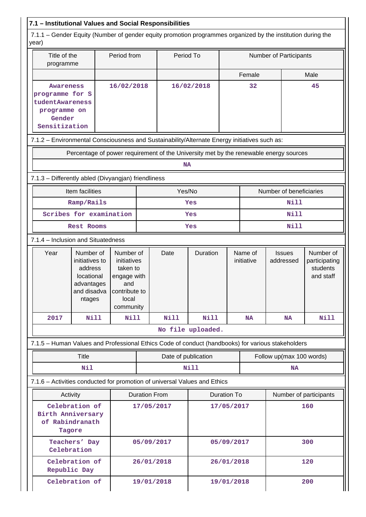## **7.1 – Institutional Values and Social Responsibilities**

 7.1.1 – Gender Equity (Number of gender equity promotion programmes organized by the institution during the year)

| Title of the<br>programme                                                                  |                                                                                                   | Period from                                                                                       |                      | Period To           | Number of Participants |                    |                          |                            |                                                     |  |  |
|--------------------------------------------------------------------------------------------|---------------------------------------------------------------------------------------------------|---------------------------------------------------------------------------------------------------|----------------------|---------------------|------------------------|--------------------|--------------------------|----------------------------|-----------------------------------------------------|--|--|
|                                                                                            |                                                                                                   |                                                                                                   |                      |                     |                        | Female             |                          |                            | Male                                                |  |  |
| Awareness<br>programme for S<br>tudentAwareness<br>programme on<br>Gender<br>Sensitization |                                                                                                   | 16/02/2018                                                                                        |                      | 16/02/2018          | 32                     |                    |                          | 45                         |                                                     |  |  |
|                                                                                            | 7.1.2 - Environmental Consciousness and Sustainability/Alternate Energy initiatives such as:      |                                                                                                   |                      |                     |                        |                    |                          |                            |                                                     |  |  |
|                                                                                            | Percentage of power requirement of the University met by the renewable energy sources             |                                                                                                   |                      |                     |                        |                    |                          |                            |                                                     |  |  |
|                                                                                            |                                                                                                   |                                                                                                   |                      | <b>NA</b>           |                        |                    |                          |                            |                                                     |  |  |
|                                                                                            | 7.1.3 - Differently abled (Divyangjan) friendliness                                               |                                                                                                   |                      |                     |                        |                    |                          |                            |                                                     |  |  |
|                                                                                            | Item facilities                                                                                   |                                                                                                   |                      | Yes/No              |                        |                    |                          | Number of beneficiaries    |                                                     |  |  |
| Ramp/Rails                                                                                 |                                                                                                   |                                                                                                   |                      |                     | Yes                    |                    | Nill                     |                            |                                                     |  |  |
|                                                                                            | Scribes for examination                                                                           |                                                                                                   |                      | Yes                 |                        |                    |                          | <b>Nill</b>                |                                                     |  |  |
| Rest Rooms                                                                                 |                                                                                                   |                                                                                                   | Yes                  |                     |                        |                    | Nill                     |                            |                                                     |  |  |
| 7.1.4 - Inclusion and Situatedness                                                         |                                                                                                   |                                                                                                   |                      |                     |                        |                    |                          |                            |                                                     |  |  |
| Year                                                                                       | Number of<br>initiatives to<br>address<br>locational<br>advantages<br>and disadva<br>ntages       | Number of<br>initiatives<br>taken to<br>engage with<br>and<br>contribute to<br>local<br>community |                      | Date                | Duration               |                    | Name of<br>initiative    | <b>Issues</b><br>addressed | Number of<br>participating<br>students<br>and staff |  |  |
| 2017                                                                                       | Nill                                                                                              | Nill                                                                                              |                      | Nill                | Nill                   |                    | NA                       | NA                         | Nill                                                |  |  |
|                                                                                            |                                                                                                   |                                                                                                   |                      |                     | No file uploaded.      |                    |                          |                            |                                                     |  |  |
|                                                                                            | 7.1.5 - Human Values and Professional Ethics Code of conduct (handbooks) for various stakeholders |                                                                                                   |                      |                     |                        |                    |                          |                            |                                                     |  |  |
| <b>Title</b>                                                                               |                                                                                                   |                                                                                                   |                      | Date of publication |                        |                    | Follow up(max 100 words) |                            |                                                     |  |  |
| Nil                                                                                        |                                                                                                   |                                                                                                   | <b>Nill</b>          |                     |                        |                    | <b>NA</b>                |                            |                                                     |  |  |
|                                                                                            | 7.1.6 - Activities conducted for promotion of universal Values and Ethics                         |                                                                                                   |                      |                     |                        |                    |                          |                            |                                                     |  |  |
| Activity                                                                                   |                                                                                                   |                                                                                                   | <b>Duration From</b> |                     |                        | <b>Duration To</b> |                          |                            | Number of participants                              |  |  |
| Celebration of<br><b>Birth Anniversary</b><br>of Rabindranath<br>Tagore                    |                                                                                                   |                                                                                                   | 17/05/2017           |                     | 17/05/2017             |                    | 160                      |                            |                                                     |  |  |
|                                                                                            | Teachers' Day<br>Celebration                                                                      |                                                                                                   | 05/09/2017           |                     | 05/09/2017             |                    |                          | 300                        |                                                     |  |  |
|                                                                                            | Celebration of<br>Republic Day                                                                    |                                                                                                   | 26/01/2018           |                     |                        | 26/01/2018         |                          | 120                        |                                                     |  |  |
| Celebration of                                                                             |                                                                                                   |                                                                                                   | 19/01/2018           |                     |                        | 19/01/2018         |                          |                            | 200                                                 |  |  |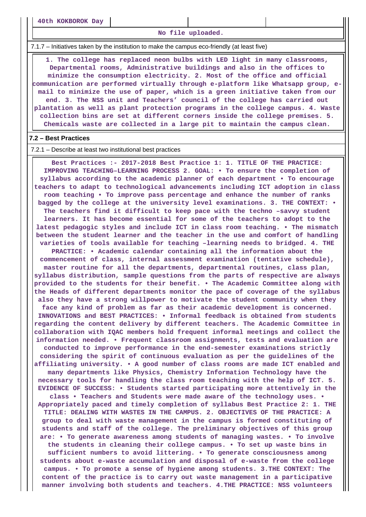**40th KOKBOROK Day**

**No file uploaded.**

7.1.7 – Initiatives taken by the institution to make the campus eco-friendly (at least five)

 **1. The college has replaced neon bulbs with LED light in many classrooms, Departmental rooms, Administrative buildings and also in the offices to minimize the consumption electricity. 2. Most of the office and official communication are performed virtually through e-platform like Whatsapp group, email to minimize the use of paper, which is a green initiative taken from our end. 3. The NSS unit and Teachers' council of the college has carried out plantation as well as plant protection programs in the college campus. 4. Waste collection bins are set at different corners inside the college premises. 5. Chemicals waste are collected in a large pit to maintain the campus clean.**

#### **7.2 – Best Practices**

7.2.1 – Describe at least two institutional best practices

 **Best Practices :- 2017-2018 Best Practice 1: 1. TITLE OF THE PRACTICE: IMPROVING TEACHING–LEARNING PROCESS 2. GOAL: • To ensure the completion of syllabus according to the academic planner of each department • To encourage teachers to adapt to technological advancements including ICT adoption in class room teaching • To improve pass percentage and enhance the number of ranks bagged by the college at the university level examinations. 3. THE CONTEXT: • The teachers find it difficult to keep pace with the techno –savvy student learners. It has become essential for some of the teachers to adopt to the latest pedagogic styles and include ICT in class room teaching. • The mismatch between the student learner and the teacher in the use and comfort of handling varieties of tools available for teaching –learning needs to bridged. 4. THE PRACTICE: • Academic calendar containing all the information about the commencement of class, internal assessment examination (tentative schedule), master routine for all the departments, departmental routines, class plan, syllabus distribution, sample questions from the parts of respective are always provided to the students for their benefit. • The Academic Committee along with the Heads of different departments monitor the pace of coverage of the syllabus also they have a strong willpower to motivate the student community when they face any kind of problem as far as their academic development is concerned. INNOVATIONS and BEST PRACTICES: • Informal feedback is obtained from students regarding the content delivery by different teachers. The Academic Committee in collaboration with IQAC members hold frequent informal meetings and collect the information needed. • Frequent classroom assignments, tests and evaluation are conducted to improve performance in the end-semester examinations strictly considering the spirit of continuous evaluation as per the guidelines of the affiliating university. • A good number of class rooms are made ICT enabled and many departments like Physics, Chemistry Information Technology have the necessary tools for handling the class room teaching with the help of ICT. 5. EVIDENCE OF SUCCESS: • Students started participating more attentively in the class • Teachers and Students were made aware of the technology uses. • Appropriately paced and timely completion of syllabus Best Practice 2: 1. THE TITLE: DEALING WITH WASTES IN THE CAMPUS. 2. OBJECTIVES OF THE PRACTICE: A group to deal with waste management in the campus is formed constituting of students and staff of the college. The preliminary objectives of this group are: • To generate awareness among students of managing wastes. • To involve the students in cleaning their college campus. • To set up waste bins in sufficient numbers to avoid littering. • To generate consciousness among students about e-waste accumulation and disposal of e-waste from the college campus. • To promote a sense of hygiene among students. 3.THE CONTEXT: The content of the practice is to carry out waste management in a participative manner involving both students and teachers. 4.THE PRACTICE: NSS volunteers**